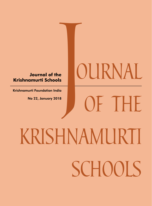# **Journal of the Krishnamurti Schools**

Krishnamurti Foundation India

# *krishnamurti schools* Journal of the<br>amurti Schools<br>urti Foundation India<br>No 22, January 2018

*ournal* 

*of the*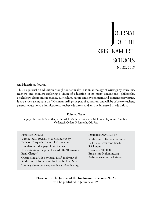# No 22, 2018 *ournal of the krishnamurti schools J*

#### **An Educational Journal**

This is a journal on education brought out annually. It is an anthology of writings by educators, teachers, and thinkers exploring a vision of education in its many dimensions—philosophy, psychology, classroom experience, curriculum, nature and environment, and contemporary issues. It lays a special emphasis on J Krishnamurti's principles of education, and will be of use to teachers, parents, educational administrators, teacher-educators, and anyone interested in education.

#### **Editorial Team**

Viju Jaithirtha, D Anantha Jyothi, Alok Mathur, Kamala V Mukunda, Jayashree Nambiar, Venkatesh Onkar, P Ramesh, OR Rao

| <b>PURCHASE DETAILS</b>                                            |
|--------------------------------------------------------------------|
| Within India: Rs.120. May be remitted by                           |
| D.D. or Cheque in favour of Krishnamurti                           |
| Foundation India, payable at Chennai.                              |
| (For outstation cheques please add Rs.40 towards)<br>Bank Charges) |
| Outside India US\$3 by Bank Draft in favour of                     |
| Krishnamurti Foundation India or by Pay Order.                     |
| You may also order a copy online at kfionline.org                  |

#### **Published Annually By:**

Krishnamurti Foundation India 124–126, Greenways Road, RA Puram, Chennai - 600 028 Email: info@kfionline.org Website: www.journal.kfi.org

**Please note: The Journal of the Krishnamurti Schools No 23 will be published in January 2019.**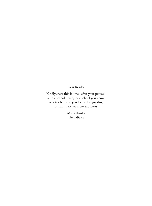Dear Reader

Kindly share this Journal, after your perusal, with a school nearby or a school you know, or a teacher who you feel will enjoy this, so that it reaches more educators.

> Many thanks The Editors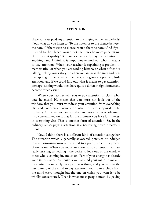#### **ATTENTION**

Have you ever paid any attention to the ringing of the temple bells? Now, what do you listen to? To the notes, or to the silence between the notes? If there were no silence, would there be notes? And if you listened to the silence, would not the notes be more penetrating, of a different quality? But you see, we rarely pay real attention to anything; and I think it is important to find out what it means to pay attention. When your teacher is explaining a problem in mathematics, or when you are reading history, or when a friend is talking, telling you a story, or when you are near the river and hear the lapping of the water on the bank, you generally pay very little attention; and if we could find out what it means to pay attention, perhaps learning would then have quite a different significance and become much easier.

When your teacher tells you to pay attention in class, what does he mean? He means that you must not look out of the window, that you must withdraw your attention from everything else and concentrate wholly on what you are supposed to be studying. Or, when you are absorbed in a novel, your whole mind is so concentrated on it that for the moment you have lost interest in everything else. That is another form of attention. So, in the ordinary sense, paying attention is a narrowing-down process, is it not?

Now, I think there is a different kind of attention altogether. The attention which is generally advocated, practised or indulged in is a narrowing-down of the mind to a point, which is a process of exclusion. When you make an effort to pay attention, you are really resisting something—the desire to look out of the window, to see who is coming in, and so on. Part of your energy has already gone in resistance. You build a wall around your mind to make it concentrate completely on a particular thing, and you call this the disciplining of the mind to pay attention. You try to exclude from the mind every thought but the one on which you want it to be wholly concentrated. That is what most people mean by paying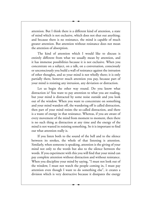attention. But I think there is a different kind of attention, a state of mind which is not exclusive, which does not shut out anything; and because there is no resistance, the mind is capable of much greater attention. But attention without resistance does not mean the attention of absorption.

The kind of attention which I would like to discuss is entirely different from what we usually mean by attention, and it has immense possibilities because it is not exclusive. When you concentrate on a subject, on a talk, on a conversation, consciously or unconsciously you build a wall of resistance against the intrusion of other thoughts, and so your mind is not wholly there; it is only partially there, however much attention you pay, because part of your mind is resisting any intrusion, any deviation or distraction.

Let us begin the other way round. Do you know what distraction is? You want to pay attention to what you are reading, but your mind is distracted by some noise outside and you look out of the window. When you want to concentrate on something and your mind wanders off, the wandering off is called distraction, then part of your mind resists the so-called distraction, and there is a waste of energy in that resistance. Whereas, if you are aware of every movement of the mind from moment to moment, then there is no such thing as distraction at any time and the energy of the mind is not wasted in resisting something. So it is important to find out what attention really is.

If you listen both to the sound of the bell and to the silence between its strokes, the whole of that listening is attention. Similarly, when someone is speaking, attention is the giving of your mind not only to the words but also to the silence between the words. If you experiment with this you will find that your mind can pay complete attention without distraction and without resistance. When you discipline your mind by saying, "I must not look out of the window, I must not watch the people coming in, I must pay attention even though I want to do something else", it creates a division which is very destructive because it dissipates the energy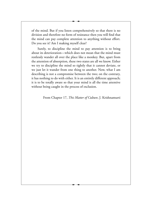of the mind. But if you listen comprehensively so that there is no division and therefore no form of resistance then you will find that the mind can pay complete attention to anything without effort. Do you see it? Am I making myself clear?

Surely, to discipline the mind to pay attention is to bring about its deterioration—which does not mean that the mind must restlessly wander all over the place like a monkey. But, apart from the attention of absorption, these two states are all we know. Either we try to discipline the mind so tightly that it cannot deviate, or we just let it wander from one thing to another. Now, what I am describing is not a compromise between the two; on the contrary, it has nothing to do with either. It is an entirely different approach; it is to be totally aware so that your mind is all the time attentive without being caught in the process of exclusion.

From Chapter 17, *This Matter of Culture*, J. Krishnamurti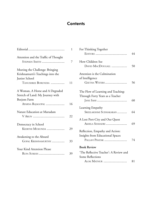# **Contents**

|                                                                                                             | 1  | For             |
|-------------------------------------------------------------------------------------------------------------|----|-----------------|
| Attention and the Traffic of Thought<br>STEPHEN SMITH                                                       | 7  | Hoy             |
| Meeting the Challenge: Bringing<br>Krishnamurti's Teachings into the<br>Junior School<br>TANUSHREE BORUNDIA | 11 | Atte<br>of I    |
| A Woman, A Horse and A Degraded<br>Stretch of Land: My Journey with<br>Beejom Farm                          |    | The<br>Thr      |
| APARNA RAJAGOPAL                                                                                            | 16 | Lear            |
| Nature Education at Marudam                                                                                 | 22 | ΑL              |
| Democracy in School<br>KEERTHI MUKUNDA                                                                      | 29 | Refl            |
| Awakening to the Absurd<br>GOPAL KRISHNAMURTHY                                                              | 33 | Insi            |
| Your Kind Attention Please<br>RUPA SURESH                                                                   | 39 | Boo<br>'Th<br>c |

|                                  | 1  | For Thinking Together                  |    |
|----------------------------------|----|----------------------------------------|----|
|                                  |    |                                        | 44 |
| ntion and the Traffic of Thought |    |                                        |    |
| STEPHEN SMITH                    | 7  | How Children See                       |    |
|                                  |    | DAVID MACDOUGALL                       | 50 |
| ting the Challenge: Bringing     |    |                                        |    |
| hnamurti's Teachings into the    |    | Attention is the Culmination           |    |
| or School                        |    | of Intelligence                        |    |
| TANUSHREE BORUNDIA               | 11 | GEETHA WATERS                          | 56 |
| oman, A Horse and A Degraded     |    | The Flow of Learning and Teaching:     |    |
| tch of Land: My Journey with     |    | Through Forty Years as a Teacher       |    |
| om Farm                          |    |                                        | 60 |
| Aparna Rajagopal                 | 16 |                                        |    |
|                                  |    | Learning Empathy                       |    |
| ure Education at Marudam         |    | SREELAKSHMI SUDHAKARAN                 | 64 |
|                                  | 22 |                                        |    |
|                                  |    | A Lost Port-City and Our Quest         |    |
| nocracy in School                |    | AKHILA SESHADRI                        | 69 |
| KEERTHI MUKUNDA                  | 29 |                                        |    |
|                                  |    | Reflection, Empathy and Action:        |    |
| kening to the Absurd             |    | Insights from Educational Spaces       |    |
| GOPAL KRISHNAMURTHY              | 33 | PALLAVI PHATAK                         | 74 |
| r Kind Attention Please          |    | <b>Book Review</b>                     |    |
| RUPA SURESH                      | 39 | 'The Reflective Teacher': A Review and |    |
|                                  |    | Some Reflections                       |    |
|                                  |    | ALOK MATHUR                            | 81 |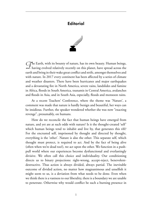## **Editorial**



The Earth, with its bounty of nature, has its own beauty. Human beings, <br>
L having evolved relatively recently on this planet, have spread across the earth and bring in their wake great conflict and strife, amongst themselves and with nature. In 2017 every continent has been affected by a series of climate and weather disasters. There have been hurricanes and major earthquakes and a devastating fire in North America, severe rains, landslides and famine in Africa, floods in South America, tsunamis in Central America, avalanches and floods in Asia, and in South Asia, especially, floods and monsoon rains.

At a recent Teachers' Conference, where the theme was 'Nature', a comment was made that nature is hardly benign and beautiful, her ways can be insidious. Further, the speaker wondered whether she was now "exacting revenge", presumably, on humans.

How do we reconcile the fact that human beings have emerged from nature, and yet are at such odds with nature? Is it the thought-created 'self' which human beings tend to inhabit and live by, that generates this rift? For the encrusted self, imprisoned by thought and directed by thought, everything is the 'other'. Nature is also the other. This separate self, which thought must protect, is required to act. And by the fact of being alive (often when we're dead too!), we act upon the other. We function in a pushpull world where our experiences become dysfunctional and everlastingly divisive. We often call this choice and individuality. Our conditioning directs us to binary projections: right-wrong, accept-reject, benevolentdestructive. Thus action is always divided, always partial. The inevitable outcome of divided action, no matter how magnanimous and unselfish it might seem to us, is a deviation from what needs to be done. Even when we think there is a vastness to our liberality, there is a boundary we are unable to penetrate. Otherwise why would conflict be such a burning presence in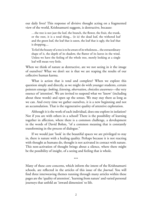our daily lives? This response of divisive thought acting on a fragmented view of the world, Krishnamurti suggests, is destructive, because:

…the tree is not just the leaf, the branch, the flower, the fruit, the trunk, or the root, it is a total thing... (it is) the dead leaf, the withered leaf and the green leaf, the leaf that is eaten, the leaf that is ugly, the leaf that is dropping....

To feel the beauty of a tree is to be aware of its wholeness... the extraordinary shape of it, the depth of its shadow, the flutter of its leaves in the wind. Unless we have the feeling of the whole tree, merely looking at a single leaf will mean very little.

When we think of nature as destructive, are we not seeing in it the image of ourselves? What we don't see is that we are reaping the results of our collective human karma.

What is action that is total and complete? When we explore this question simply and directly, as we might do with younger students, certain pointers emerge: *looking*, *listening*, *observation*, *choiceless awareness*—the very essence of 'attention'. We are invited to suspend what we 'know' (including about these words) and open up the senses. We may stay there as long as we can. And every time we gather ourselves, it is a new beginning and not an accumulation. That is the regenerative quality of attentive exploration.

Although it is the work of each individual, does one explore in isolation? Not if you are with others in a school! There is the possibility of learning together in affection, where there is a common challenge, a development in the words of David Bohm, "of a common meaning that is constantly transforming in the process of dialogue."

If we would just 'look' in the beautiful spaces we are privileged to stay in, there is nature with a healing quality. Perhaps because it is not reacting with thought as humans do, thought is not activated in contact with nature. This non-activation of thought brings about a silence, where there might be the possibility of insight, of a seeing and feeling that is whole.

\*\*\*

Many of these core concerns, which inform the intent of the Krishnamurti schools, are reflected in the articles of this issue of the *Journal*. You will find three interweaving themes running through many articles within these pages are the 'quality of attention', 'learning from nature' and varied personal journeys that unfold an 'inward dimension' to life.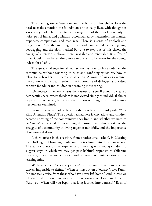The opening article, 'Attention and the Traffic of Thought' explores the need to make attention the foundation of our daily lives, with thought as a necessary tool. The word 'traffic' is suggestive of the ceaseless activity of noise, petrol fumes and pollution, accompanied by inattention, mechanical responses, competition, and road rage. There is a sense of gridlock and congestion. Push the meaning further and you would get smuggling, bootlegging and the black market! For one to step out of this chaos, the quality of attention is always there, available and renewable. It is 'free of time'. Could there be anything more important to be learnt for the young, indeed for all of us?

The great challenge for all our schools is how to have order in the community, without resorting to rules and confining structures, how to relate to each other with care and affection. A group of articles examines the notion of individual freedom, the importance of dialogue, and a deep concern for adults and children in becoming more caring.

'Democracy in School' charts the journey of a small school to create a democratic space, where freedom is not viewed simply as individual choice or personal preference, but where the patterns of thought that hinder inner freedom are examined.

From the same school we have another article with a quirky title, 'Your Kind Attention Please'. The question asked here is why adults and children become uncaring of the communities they live in and whether we need to be 'taught' to be kind. In examining this issue, the author speaks of the struggles of a community in living together mindfully, and the importance of on-going dialogue.

A third article in this section, from another small school, is 'Meeting the Challenge', of bringing Krishnamurti's teachings into the junior school. The author draws on her experience of working with young children to suggest ways in which we may get past habitual responses to children's concerns, questions and curiosity, and approach our interactions with a learning mind.

We have several 'personal journeys' in this issue. This is such a vast canvas, impossible to define. "When setting out on a journey", says Rumi, "do not seek advice from those who have never left home!" And in case we felt the need to post photographs of that journey on Facebook he adds, "And you? When will you begin that long journey into yourself?" Each of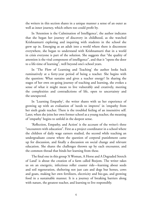the writers in this section shares in a unique manner a sense of an outer as well as inner journey, which others too could profit by.

In 'Attention is the Culmination of Intelligence', the author indicates that she began her journey of discovery in childhood, as she watched Krishnamurti exploring and inquiring with students in the school she grew up in. Emerging as an adult into a world where there is discontent everywhere, she began to understand with Krishnamurti that in a world in crisis everyone is part of the solution. She suggests that "the quality of attention is the vital component of intelligence", and that it "opens the door to a life-time of learning", well beyond one's school years.

In 'The Flow of Learning and Teaching' the author looks back ruminatively at a forty-year period of being a teacher. She begins with the question: What sustains and gives a teacher energy? In sharing the stages of her own on-going journey of teaching and learning, she evokes a sense of what it might mean to live vulnerably and creatively, meeting the complexities and contradictions of life, open to uncertainty and the unexpected.

In 'Learning Empathy', the writer shares with us her experience of growing up with an evaluation of 'needs to improve' in 'empathy from her sixth grade teacher. There is the troubled feeling of an insensitive self. Later, when she joins her own former school as a young teacher, the meaning of 'empathy' begins to unfold in the deepest sense.

'Reflection, Empathy, and Action' is the account of the writer's three "encounters with education". First as a project coordinator in a school where the children of daily wage earners studied, the second while teaching an undergraduate course where the question of corporal punishment came up for discussion, and finally a discussion on social change and relevant education. She shares the challenges thrown up by each encounter, and the common thread that binds her learning from these.

The final one in this group 'A Woman, A Horse and A Degraded Stretch of Land' is about the creation of a farm called Beejom. The writer takes us on an energetic, infectious roller coaster ride—learning about seeds and soil regeneration, sheltering not just cats and dogs but horses, cows and goats, making her own fertilizers, electricity and bio-gas, and growing food in a sustainable manner. It is a journey of breaking barriers along with nature, the greatest teacher, and learning to live responsibly.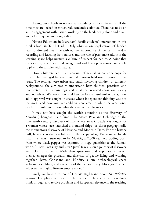Having our schools in natural surroundings is not sufficient if all the time they are locked in structured, academic activities. There has to be an active engagement with nature: working on the land, being alone and quiet, going for frequent and long walks.

'Nature Education in Marudam' details students' interactions in this rural school in Tamil Nadu. Daily observation, exploration of hidden fears, undirected free time with nature, importance of silence in the day, recording and learning from nature, and the role of passionate adults in the learning space helps nurture a culture of respect for nature. A point that comes up is, whether a rural background and fewer possessions have a role to play in the affinity with nature.

'How Children See' is an account of several video workshops for Indian children aged between ten and thirteen held over a period of five years. The settings were urban and rural, involving children of different backgrounds; the aim was to understand how children 'perceived and interpreted their surroundings' and what that revealed about our society and ourselves. We learn how children performed unfamiliar tasks, how adult approval was sought in spaces where independent thinking was not the norm and how younger children were creative while the older ones careful and inhibited about what they wanted adults to see.

It may not have caught the world's attention as the discovery of Xanadu (Changdu) made famous by Marco Polo and Coleridge or the nineteenth century discovery of Troy where an epic battle was fought for a woman whose face 'launched a thousand ships', or closer geographically the momentous discovery of Harappa and Mohenjo-Daro. For the history buff, however, is the possibility that the sleepy village Pattanam in Kerala may—just may—turn out to be Muziris, a 2,000 year old trading port, from where black pepper was exported in huge quantities to the Roman world. 'A Lost Port City and Our Quest' takes us on a journey of discovery with class 8 students. With their questions and explorations several themes emerge: the plurality and diversity of people living and working together—Jews, Christians and Hindus, a rare archaeological space welcoming children, and the story of the extraordinary 'black gold' which left even the mighty Roman empire in debt!

Finally we have a review of Neeraja Raghavan's book *The Reflective Teacher*. The phrase is placed in the context of how creative individuals think through and resolve problems and its special relevance in the teaching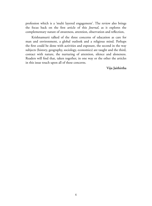profession which is a 'multi layered engagement'. The review also brings the focus back on the first article of this *Journal*, as it explores the complementary nature of awareness, attention, observation and reflection,

Krishnamurti talked of the three concerns of education as care for man and environment, a global outlook and a religious mind. Perhaps the first could be done with activities and exposure, the second in the way subjects (history, geography, sociology, economics) are taught and the third, contact with nature, the nurturing of attention, silence and aloneness. Readers will find that, taken together, in one way or the other the articles in this issue touch upon all of these concerns.

**Viju Jaithirtha**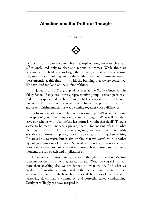### Attention and the Traffic of Thought

Stephen Smith



 $\mathcal{J}$ t is a truism barely contestable that explanations, however clear and rational, lead only to clear and rational outcomes. While these are necessary in the field of knowledge, they remain, at best, a superstructure: they supply the scaffolding but not the building. And, most intimately—and most urgently at this time—it is with the building that we are concerned. We have lived too long on the surface of things.

In January of 2017 a group of us met at the Study Centre in The Valley School, Bangalore. It was a representative group—sixteen persons all told—with experienced teachers from the KFI schools and its sister schools. Unlike regular study intensive sessions with frequent exposure to videos and audios of J Krishnamurti, this was a coming together with a difference.

Its focus was attention. The question came up: "What are we doing if, in spite of good intentions, we operate by thought? What will a student leave our schools with if all he/she has learnt is within that field?" There is a case to be made—indeed, a pressing need—for looking afresh at what else may be to hand. This, it was suggested, was attention. It is readily available at all times and places; indeed, in a sense, it is sitting there waiting (Fr. *attendre* = to wait). But it also implies that we *stretch* to it—another etymological function of the word. So, while it is waiting, it makes a demand of its own: we need to look where it is pointing. It is pointing to the present moment, the full stretch and implication of it.

There is a correlation, surely, between thought and action. Meeting someone for the first time, they are apt to ask, "What do you *do*?" In fact, more than anything else, we are defined by what we do. And what we do derives from what we think, as does the socio-cultural matrix in which we were born and to which we have adapted. It is part of the process of narrowing down that is commonly, and correctly, called conditioning. Tacitly or willingly, we have accepted it.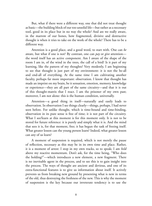But, what if there were a different way, one that did not treat thought as basic—the building block of our too unsolid life—but rather as a necessary tool, good in its place but in no way the whole? And are we really aware, in the marrow of our bones, how fragmented, divisive and destructive thought is when it tries to take on the work of the whole? There has to be a different way.

Attention is a good place, and a good word, to start with. One can *be* aware, but what if one is not? By contrast, one can *pay* or *give* attention the word itself has an active component. Am I aware of the shape of the room I am in, of the wind in the trees, the call of a bird? Is it part of my learning, like the pattern of my thoughts? Very modestly, I am beginning to see that thought is just part of my environment: it is not the be-all and end-all of everything. At the same time I am cultivating another faculty, perhaps far more important: observation. I know that thought has made an imprint on my brain, be it sensation, emotion, memory, knowledge or experience—they are all part of the same circuitry—and that it is out of this thought-matrix that I react. I am the prisoner of my own past; moreover, I am not alone: this is the human condition, universally.

Attention—a good thing in itself—naturally and easily leads to observation. In observation I see things clearly—things, perhaps, I had never seen before. For unlike thought, which is time-bound and time-binding, observation in its pure sense is free of time; it is not part of the circuitry. What I see/learn at this moment is for this moment only. It is not to be stored for future reference: it is purely and simply what it is. And the mind that sees it is, for that moment, free; it has begun the task of freeing itself. What greater lesson can the young person learn? Indeed, what greater lesson can any of us learn?

A moment of suspension is required, which is not merely the pause of reflection, necessary as this may be in its own time and place. Rather, it is a moment of arrest: I stop in my own tracks, so to speak; I am *held* above my reactive momentum. Don't ask, for the time being, "Who does the holding?"—which introduces a new element, a new fragment. There is no inevitable agent in the process, and to see this is to gain insight into the process. The ways of thought are ancient and devious, and one of its extra-functional features is to give us information about itself. It actively prevents us from breaking new ground by presenting what is new in terms of the old, thus destroying the freshness of the new. This is why the moment of suspension is the key because our inveterate tendency is to use the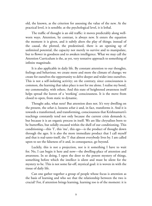old, the known, as the criterion for assessing the value of the new. At the practical level, it is sensible; at the psychological level, it is lethal.

The traffic of thought is an old traffic: it moves predictably along wellworn ways. Attention, by contrast, is always new. It enters the equation the moment it is given, and it subtly alters the play of things; instead of the causal, the plotted, the predestined, there is an opening up of unlimited potential, the capacity not merely to survive and to manipulate, but to flower in goodness and to awaken intelligence. What we may call the Attention Curriculum is the, as yet, very tentative approach to something of infinite magnitude.

It is also applicable in daily life. By constant attention to our thoughts, feelings and behaviour, we create more and more the climate of change; we create for ourselves the opportunity to delve deeper and wider into ourselves. This is not a self-isolating activity; on the contrary, since consciousness is common, the learning that takes place is not for me alone. I realise my bond, my commonality, with others. And this state of heightened awareness itself helps spread the leaven of a 'working' consciousness. It is the move from closed to open, from static to dynamic.

Thought asks, what next? But attention does not. It's very dwelling on the present, the *what is*, loosens *what is* and, in fact, transforms it. And it is towards a transformed, and transforming, consciousness that Krishnamurti's teachings constantly tend not only because the current crisis demands it, but because it is an organic process in itself. We are like chrysalises born to be butterflies, but solidly encased within the shell of our conditioning. This conditioning—this 'I', this 'me', this ego—is the product of thought down through the ages. It is also the more immediate product that I call myself and that is real-unto-itself, the 'I' that almost everybody lives by. I am called upon to see the falseness of it and, in consequence, go beyond.

Luckily, this is not a projection, nor is it something I have to wait for. No, I can begin it here and now—the dwelling-place of attention and awareness. In so doing, I open the door to the potent mystery of things, something before which the intellect is silent and must be silent for the mystery to be. This is not some far-off, mystical goal: it is woven in with the tissue of daily life.

Can one gather together a group of people whose focus is attention as the basis of learning and who see that the relationship between the two is crucial? For, if attention brings learning, learning too is of the moment: it is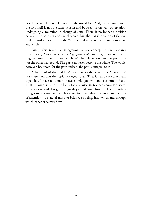not the accumulation of knowledge, the stored fact. And, by the same token, the fact itself is not the same: it is in and by itself, in the very observation, undergoing a mutation, a change of state. There is no longer a division between the observer and the observed, but the transformation of the one is the transformation of both. What was distant and separate is intimate and whole.

Surely, this relates to integration, a key concept in that succinct masterpiece, *Education and the Significance of Life.* But, if we start with fragmentation, how can we be whole? The whole contains the part—but not the other way round. The part can never become the whole. The whole, however, has room for the part; indeed, the part is integral to it.

"The proof of the pudding" was that we did meet, that "the eating" was sweet and that the topic belonged to all. That it can be reworked and expanded, I have no doubt: it needs only goodwill and a common focus. That it could serve as the basis for a course in teacher education seems equally clear, and that great originality could come from it. The important thing is to have teachers who have seen for themselves the crucial importance of attention—a state of mind or balance of being, into which and through which experience may flow.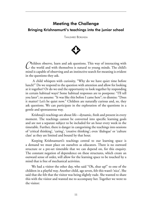# Meeting the Challenge Bringing Krishnamurti's teachings into the junior school

Tanushree Borundia



*C*hildren observe, learn and ask questions. This way of interacting with  $\angle$  the world and with themselves is natural to young minds. The child's mind is capable of observing and an instinctive search for meaning is evident in the questions they ask.

 A child whispers with curiosity, "Why do we have quiet time before lunch?" Do we respond to the question with attention and allow for looking at it together? Or do we end the opportunity to look together by responding in certain habitual ways? Some habitual responses are to postpone: "I'll tell you later"; to assume: "It was like this before I came here"; to dismiss: "Does it matter? Let's be quiet now." Children are naturally curious and, so, they ask questions. We can participate in the exploration of the questions in a gentle and spontaneous way.

Krishnaji's teachings are about life—dynamic, fresh and present in every moment. The teachings cannot be converted into specific learning goals and are not a separate subject to be included for an hour every week in the timetable. Further, there is danger in categorising the teachings into sessions of 'critical thinking', 'caring', 'creative thinking'; even 'dialogue' or 'culture class' as they are limited and bound by that hour.

Keeping Krishnamurti's teachings central to our learning space is a demand we must place on ourselves as educators. There is no outward structure or a pre-set timetable that we can depend on, for this enquiry. The constant negation of dependence on these structures, which create an outward sense of order, will allow for the learning space to be touched by a mind that is free of mechanical activities.

We had a visitor the other day, who said "Oh, shut up!" to one of the children in a playful way. Another child, age seven, felt this wasn't 'nice'. She said that she felt that the visitor was being slightly rude. She wanted to share this with the visitor and wanted me to accompany her. Together we went to the visitor: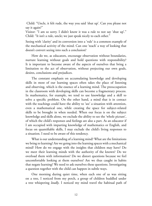Child: "Uncle, it felt rude, the way you said 'shut up'. Can you please not say it again?"

Visitor: "I am so sorry. I didn't know it was a rule to not say 'shut up'." Child: "It isn't a rule, uncle; we just speak nicely to each other."

Seeing with 'clarity' and its conversion into a 'rule' is a common example of the mechanical activity of the mind. Can one 'teach' a way of looking that doesn't convert seeing into such a conclusion?

How do we, as educators, encourage observation without boundaries, nurture learning without goals and hold questions with responsibility? It is important to become aware of the aspects of ourselves that bring a limitation to the act of observation, without projecting our own goals, desires, conclusions and prejudices.

The constant emphasis on accumulating knowledge and developing skills in most of our learning spaces often takes the place of listening and observing, which is the essence of a learning mind. The preoccupation in the classroom with developing skills can become a fragmentary process. In mathematics, for example, we tend to use knowledge and a skill to solve a specific problem. On the other hand, a mind that is in contact with the teachings could have the ability to 'see' a situation with attention, even a mathematical one, while creating the space for subject-related skills to be brought in when needed. When our focus is on the subject knowledge and skills alone, we exclude the ability to see the 'whole picture', of which the child's responses and feelings are also a part. As an educator if I am occupied with imparting knowledge of mathematics or English, and focus on quantifiable skills, I may exclude the child's living responses to a situation. I need to be aware of this tendency.

What is our understanding of a learning mind? What are the limitations we bring to learning? Are we going into the learning spaces with a mechanical mind? How do we engage with the insights that children may have? Do we meet their learning minds with the authority of the known? Do we overload them with information? Do we distort questions because we feel uncomfortable looking at them ourselves? Are we thus caught in habits that negate learning? We need to ask ourselves these questions. Investigating a question together with the child can happen in subtle ways.

One morning during quiet time, when each one of us was sitting on a tree, I noticed from my perch, a group of children huddled under a tree whispering *loudly*. I noticed my mind travel the habitual path of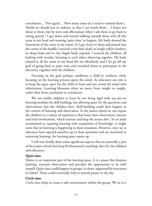conclusions... "Not again! ... How many times do I need to remind them?... Maybe we should just sit indoors, so that I can watch them ... I better not shout at them, but be stern and affectionate when I ask them to go back to sitting quietly." I got down and started walking towards them with all this noise in my head and wanting 'quiet time' to happen. My body showed the frustration of the noise in my mind. As I got closer to them and peered into the centre of the huddle I noticed a tiny bird, dead, its bright yellow feathers, its sharp beak and its tiny fragile body exposed. I noticed the children, all looking with wonder, listening to each other, observing together. My body relaxed as all the noise in my head left me effortlessly and I let go off my goal of going back to quiet time and crouched down to participate in the discovery, together with the children.

Focusing on the goal perhaps conditions a child to conform, while focusing on the learning process opens the mind. As educators our role is to keep the space open for the child to learn and not crowd the mind with information. Learning blossoms when we move from insight to insight, rather than from conclusion to conclusion.

We can enable children to learn by not being rigid with our pre-set learning modules for skill building, but allowing space for the questions and observations that the children have. Skill-building could then happen in the context of listening and observation. In the junior school we can expose the children to a variety of experiences that foster keen observation, interest and total involvement, which nurture and keep the senses alive. To an adult accustomed to equating learning with acquisition of knowledge, it might seem that no learning is happening in these situations. However, once we as educators have opened ourselves up to these questions and are interested in nurturing learning, the learning space opens up.

I will now briefly share some significant aspects that are naturally a part of the junior school that keep Krishnamurti's teachings alive for the children and educators.

#### **Quiet time**

Silence is an important part of the learning space. It is a pause that deepens learning, nurtures observation and provides the opportunity to be with oneself. Quiet time could happen in groups, or alone, supported by structures in school. These could eventually lead to natural pauses in the day.

#### **Circle time**

Circle time helps to create a safe environment within the group. We sit in a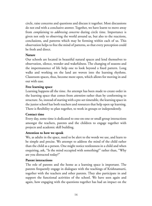circle, raise concerns and questions and discuss it together. Most discussions do not end with a conclusive answer. Together, we have learnt to move away from *complaining* to *addressing concerns* during circle time. Importance is given not only to observing the world around us, but also to the reactions, conclusions, and patterns which may be forming within each of us. This observation helps to free the mind of patterns, so that every perception could be fresh and direct.

#### **Nature**

Our schools are located in beautiful natural spaces and lend themselves to observation, silence, wonder and wakefulness. The changing of seasons and the impermanence of life help one to look beyond a fixed pattern. Long walks and working on the land are woven into the learning rhythms. Classroom spaces, thus, become more open, which allows for moving in and out with ease.

#### **Free learning space**

Learning happens all the time. An attempt has been made to create order in the learning space that comes from *attention* rather than by conforming to structure. So, instead of starting with a pre-set timetable, the learning space in the junior school has both teachers and resources that help open up learning. There is flexibility to plan together, to work in groups or independently.

#### **Contact time**

Every day, some time is dedicated to one-on-one or small group interactions amongst the teachers, parents and the children to engage together with projects and academic skill building.

#### **Attention to how we speak**

We, as adults in the space, need to be alert to the words we use, and learn to be simple and precise. We attempt to address the mind of the child rather than the child as a person. One might notice restlessness in a child and when enquiring, ask, "Is the mind occupied with something?" rather than, "Why are you distracted today?"

#### **Parent interactions**

The role of parents and the home as a learning space is important. The parents frequently engage in dialogues with the teachings of Krishnamurti, together with the teachers and other parents. They also participate in and support the functional activities of the school. We have seen again and again, how engaging with the questions together has had an impact on the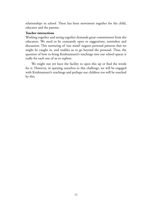relationships in school. There has been movement together for the child, educator and the parents.

#### **Teacher interactions**

Working together and seeing together demands great commitment from the educators. We need to be constantly open to suggestions, reminders and discussion. This nurturing of 'one mind' negates personal patterns that we might be caught in, and enables us to go beyond the personal. Thus, the question of how to bring Krishnamurti's teachings into our school spaces is really for each one of us to explore.

We might not yet have the facility to open this up or find the words for it. However, in opening ourselves to this challenge, we will be engaged with Krishnamurti's teachings and perhaps our children too will be touched by this.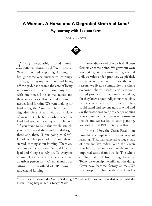# A Woman, A Horse and A Degraded Stretch of Land1 My journey with Beejom farm

Aparna Rajagopal



*L*iving responsibly could mean different things to different people. When I started exploring farming, it brought some very unexpected learnings. Today, growing my own food and living off the grid, has become the core of living responsibly for me. I started my farm with one horse. I do animal rescue and there was a horse that needed a home. I needed land for him. We went looking for land along the Yamuna. There was this degraded piece of land with not a blade of grass on it. The farmer who owned the land had stopped farming on it. He said, "If you want to take this whole stretch, you can". I stood there and decided right there and then, "I am going to farm". I took on this piece of land and then I started learning about farming. There was one *jamun* tree and a *charpoi*; and I had an ipad and Google to rely on. To everyone around, I was a curiosity because I was an urban person from Chennai and I was sitting in the heartland of UP, trying to understand farming.

I soon discovered that we had all been farmers at some point. We grew our own food. We grew in season, we regenerated soil, we value-added produce, we pickled, we preserved, we kept it for the next season. We lived a community life where everyone shared seeds and everyone shared produce. Farmers were herbalists, for they knew about indigenous medicine. Farmers were weather forecasters. They could stand and see one gust of wind and say the season was going to change or rains were coming or that there was moisture in the air and we needed to start planting. You didn't need BBC to tell you that.

In the 1960s, the Green Revolution brought a completely different way of farming. That has affected a huge part of how we live today. With the Green Revolution, we imported seeds and we imported cattle from outside. The whole emphasis shifted from dung to milk. Today, we worship the milk, not the dung. Cows have become factory animals.We have stopped tilling with a bull and a

<sup>1</sup> Based on a talk given at the Annual Gathering, 2016, of the Krishnamurti Foundation India with the theme 'Living Responsibly in Today's World'.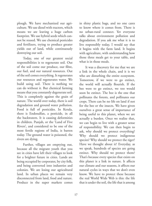plough. We have mechanized our agriculture. We use diesel with tractors, which means we are leaving a huge carbon footprint. We use hybrid seeds which cannot be reused. We use chemical pesticides and fertilizers, trying to produce greater yields out of land, while continuously destroying our soil.

Today, one of our greatest social responsibilities is to regenerate soil. Out of the soil come our produce, our fibre, our fuel, and our natural resources. Out of the soil comes everything. It regenerates our resources and regenerates water. We build using soil. There is nothing we can do without it. But chemical farming means that you constantly degenerate soil. This is completely against the grain of nature. The world over today, there is soil degradation and ground water pollution. Food is full of pesticides. In Kerala, there is Endosulfan, a pesticide, in all the backwaters. It is causing deformities in children. Punjab, or the 'Land of Five Rivers', and considered to be one of the most fertile regions of India, is barren today. The ground water is poisoned, the rivers are dying.

Further, villages are emptying out, because all the migrant youth that you see in cities have left their villages to look for a brighter future in cities. Lands are being occupied by corporates, by city folk, and being converted into industries and colonies. We are losing our agricultural land. In urban places we remain very disconnected from land, food and nature. Produce in the super markets comes in shiny plastic bags, and no one cares to know where it comes from. There is no urban-rural connect. Yet everyone talks about environment pollution and degradation. If you ask me what it is to live responsibly today, I would say that it begins with the farm land. It begins with agriculture, with understanding how those three meals get to your table, and what is in those meals.

It was a discovery for me that we are a link in the whole chain, and it is we who are disturbing the entire ecosystem. Tomorrow, if we were to go extinct, the world will actually flourish. If the bee were to go extinct, we too would soon be extinct. The bee is the one that pollinates the forests, and pollinates our crops. There can be no life on land if not for the bee or the insects. We have given ourselves a great sense of importance of being useful to this planet, when we are actually a burden. Once we realize that, we can begin to live with a greater sense of responsibility. We can then begin to ask, why should we protect everything? Why should we protect indigenous species? Why should we protect the tiger? Have we thought about it? Everyday, as we speak, hundreds of species are going extinct. Why should we protect them? That's because every species that exists on this planet is a link in nature. It affects our climate and our seasons, it affects our natural cycles in ways that we don't even know. We have to protect these because the real World Wide Web is this: the life that is under the soil, the life that is among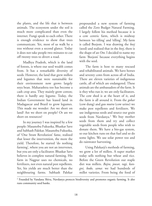the plants, and the life that is between animals. The ecosystem under the soil is much more complicated than even the internet. Fungi speak to each other. There is enough evidence to show that trees communicate. Yet, most of us walk by a tree without even a second glance. Today it does not take people two minutes to cut off twenty trees to divert a road.

Madhya Pradesh, which is the land of forests, is where our seed wealth comes from. It has a remarkable diversity of seeds. However, the land that grew millets and legumes that were sustainable for their environment now grows largely soya bean. Maharashtra too has become a cash crop area. They mainly grow cotton; there is hardly any legume. Today, the Indian Government has leased land in Madagascar and Brazil to grow legumes. This made me wonder: Are we short on land? Are we short on people? Or are we short on resources?

In my journey I was inspired by a few people: Masanobu Fukuoka, Bhaskar Save and Subhash Palekar. Masanobu Fukuoka, of 'One Straw Revolution' fame, realized that lesser the intervention, the more the yield. Therefore, he started 'do nothing farming', where you are not an intervener, but you are only a facilitator. Bhaskar Save believes in complete natural farming. His farm in Nagpur uses no chemicals, no fertilizers, not even natural pest repellents. Yet, his yields are much better than the neighbouring farms. Subhash Palekar

propounded a new system of farming called the Zero Budget Natural Farming. I largely follow his method because it is a cow centric farm, which is midway between 'no tilling' and 'tilling'. My farm is called Beejom. I was drawing the *beej* (seed) and realized that in the *beej*, there is the shape of an *Om*. I decided to name my farm 'Beejom' because everything begins with the seed.

The farm is host to many rescued and rehabilitated animals. We have horses and seventy cows from across all of India. There are eleven varieties of indigenous cattle, all of which are endangered. These animals are the ambassadors of the farm. It is they who run it; we are only facilitators. The cow shed is at the heart of it, and the farm is all around it. From the *gobar* (cow dung) and *gau mutra* (cow urine) we make pest repellents and fertilizers. We use indigenous seeds and source our grain seeds from Navdanya.<sup>2</sup> We buy mother seeds from them and try and collect vegetable seeds from people who wish to donate them. We have a bio-gas system, so our kitchen runs on that fuel and so do some lights. We use solar power too and do rainwater harvesting.

Using Palekarji's methods of farming, we grow a lot of millets. A super market today sells nothing but wheat and rice. Before the Green Revolution our staple diet was millets. *Bajra, jowar, ragi, kangni, kodo, sama*: we had hundreds of millet varieties. From being the food of

<sup>2</sup> Founded by Vandana Shiva, Navdanya protects biodiversity and promotes organic farming. It also runs community seed banks.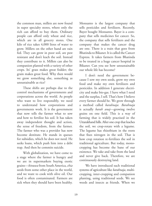the common man, millets are now found in super specialty stores, where only the rich can afford to buy them. Ordinary people can afford only wheat and rice, which are in all grocery stores. One kilo of rice takes 4,000 litres of water to grow. Millets on the other hand are rain fed. They can grow in poor soil, are pest resistant and don't leach the soil. Instead they contribute to it. Millets can also be companion planted with a variety of other crops. Its' grass makes great fodder; the grain makes great food. Why then would we grow something else, something as unsustainable as rice?

These shifts are perhaps due to the control mechanisms of governments and corporations across the world. As people who want to live responsibly, we need to understand how corporations and governments work. It is the government that now tells the farmer what to sow and how to fertilize his soil. It has taken away independent thought and action, the sense of freedom, from the farmer. The farmer who was a provider has now become destitute. He stands in queues for subsidies, which he does not need. He seeks loans, which push him into a debt trap. And then he commits suicide.

With globalization, we have come to a stage where the farmer is hungry and we are in supermarkets buying exotic grains—*kinuwa* from South America, *chia* seeds from some other place in the world, and we want to cook with olive oil. Our food is often contaminated. Farmers are sick when they should have been healthy.

Monsanto is the largest company that sells pesticides and fertilizers. Recently, Bayer bought Monsanto. Bayer is a company that sells medicines for cancer. So, the company that sells fertilizers and the company that makes the cancer drug are one. There is a train that goes from Bhatinda to Bikaner. It is called the Cancer Express. It takes farmers from Bhatinda to be treated in a huge cancer hospital in Bikaner. Can you see how unsustainable our whole life has become?

I don't need the government because I sow my own seeds, grow my own food and make my own fertilizers and pesticides. In addition I generate electricity and make bio-gas. I have what I need and the surplus, I sell. That's how I believe every farmer should be. We grow through a method called *barahnaja*. *Barahnaja* is actually *barah anaj*—growing twelve grains on one field. This is a way of farming that is widely practised in the Uttarakhand hills. After one crop that leaches the soil, we crop-rotate with a legume. The legume has rhizobium in the roots that fixes nitrogen in the soil. That is how crop rotation re-fertilizes the soil in traditional agriculture. But today, monocropping has become the bane of our existence. We take and take from the land and never give back. Therefore, we are continuously destroying land.

We have introduced such traditional systems of agriculture like *barahnaja*, multicropping, inter-cropping and companion planting, using traditional seeds. We see weeds and insects as friends. When we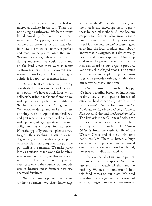came to this land, it was grey and had no microbial activity in the soil. There was not a single earthworm. We began using liquid cow-dung fertilizer, which when mixed with *dal*, jaggery, *besan* and a bit of forest soil, creates a microclimate. After four days the microbial activity is perfect and ready to be poured onto the land. Within two years, when we had rains during monsoon, we could not stand on the land, since there were so many earthworms. We thus discovered that nature is most forgiving. Even if you give a little, it is happy to regenerate itself.

We also built environmentally friendly cow sheds. Our roofs are made of recycled tetra packs. We have a brick floor which collects the urine in tanks and from this we make pesticides, repellents and fertilizers. We have a project called 'dung home'. We celebrate dung, and make a variety of things with it. Apart from fertilizers and pest repellents, women in the villages make phenol, *dhoop*, *agarbhati,* mosquito coils, and *gobar* pots for nurseries. Nurseries typically use small plastic covers to grow their seedlings. Plastic does not degenerate, whereas with the *gobar* pots, once the plant has outgrown the pot, the pot itself is the manure. We make *gobar* logs as a substitute for wood for bonfires, *havans* and cremations, so that trees need not be cut. There are tonnes of *gobar* in every *goushala* in the country, but nobody uses it because most farmers now use chemical fertilizers.

We have training programmes where we invite farmers. We share knowledge

and our seeds. We teach them for free, give them seeds and encourage them to grow these by natural methods. At the Beejom cooperative, farmers who grow organic produce can also sell it. They don't want to sell it in the local *mandi* because it goes away into the local produce and nobody knows that it is organic. It is also correctly priced, and is not expensive. Our shop challenges the general belief that only the rich can afford to buy organic produce. We don't sell packaged goods. The grains are in sacks, so people bring their own bags or we provide cloth bags so that they can carry the provisions home.

On our farm, the animals are happy. We have beautiful breeds of indigenous healthy cows, and specific breeds of cattle are bred consciously. We have the *Gir, Sahival, Tharparkar, Red Sindhi, Kankhrej, Rathi, Malnad Gidda, Hariana, Kangayam, Vechur* and the *Murrah buffalo*. The *Vechur* is in the Guinness Book as the smallest breed of cow in the world. There are only 300 of them left. The *Malnad Gidda* is from the cattle family of the Western Ghats, and of these only some 2,000 are left. There is, hence, a huge onus on us to preserve our traditional cattle, preserve our traditional seeds and, preserve our traditional practices.

I believe that all of us have to participate in our own little spaces. We cannot just stand and watch all this, and do nothing. We need to understand how this food comes to our plate. We need to realize that a vegan needs one-sixth of an acre, a vegetarian needs three times as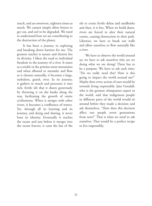much, and an omnivore, eighteen times as much. We cannot simply allow forests to get cut, and soil to be degraded. We need to understand how we are contributing to the destruction of the planet.

It has been a journey in exploring and breaking down barriers for me. The greatest teacher is nature and therein lies its divinity. I liken the road to individual freedom to the journey of a river. It starts as a trickle in the pristine snow mountains and when allowed to meander and flow as it chooses naturally, it becomes a large, turbulent, grand, river. In its journey, it gathers so much and processes it into rich, fertile silt that it shares generously by throwing it on the banks along the way, facilitating the growth of entire civilizations. When it merges with other rivers, it becomes a confluence of waters. Yet, through all its learning and its journey, and doing and sharing, it never loses its identity. Eventually it reaches the ocean and just before it merges into the ocean forever, it casts the last of the

silt to create fertile deltas and sandbanks and then, it is free. When we build dams, rivers are forced to alter their natural course, causing destruction in their path. Likewise, we have to break our walls and allow ourselves to flow naturally like a river.

We have to observe the world around us; we have to ask ourselves why are we doing what we are doing? There has to be a purpose. We have to ask each time: "Do we really need this? How is this going to impact the world around me?" Maybe then every action of ours would be towards living responsibly. Jane Goodall, who is the greatest chimpanzee expert in the world, said that indigenous people in different parts of the world would sit around before they made a decision and ask themselves, "How does this decision affect our people seven generations from now?" That is what we need to ask ourselves. That would be a perfect recipe to live responsibly.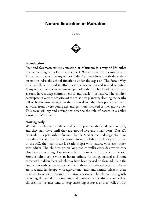# Nature Education at Marudam





#### **Introduction**

First and foremost, nature education at Marudam is a way of life rather than something being learnt as a subject. We are situated in a rural area in Tiruvannamalai, with many of the children's parents' lives directly dependent on nature. Also the school functions under the aegis of 'The Forest Way' trust, which is involved in afforestation, conservation and related activities. Many of the teachers are an integral part of both the school and the trust and as such, have a deep commitment to and passion for nature. The children participate in various activities of the trust: tree planting, cleaning the nearby hill or biodiversity surveys, as the season demands. They participate in all activities from a very young age and get more involved as they grow older. This essay will try and attempt to describe the role of nature in a child's journey in Marudam.

#### **Starting early**

We take in children at three and a half years in the kindergarten (KG) and they stay there until they are around five and a half years. Our KG curriculum is primarily influenced by the Steiner methodology. We don't introduce the alphabet in the written form until they reach six years of age. In the KG, the main focus is relationships: with nature, with each other, with adults. The children go on long nature walks every day where they observe various things like insects, birds, flowers and patterns in the soil. Some children come with an innate affinity for things natural and some come with hidden fears, which may have been passed on from adults in the family. But with gentle engagement with these fears, they slowly drop. As we are in a rural landscape, with agricultural lands and natural thickets, there is much to observe through the various seasons. The children are gently encouraged to not destroy anything and to observe respectfully. Many village children for instance tend to keep snatching at leaves as they walk by, but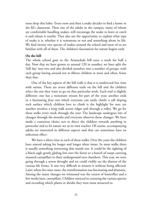soon drop this habit. Every now and then a snake decides to find a home in the KG classroom. Then one of the adults in the campus, many of whom are comfortable handling snakes, will encourage the snake to leave or catch it and release it nearby. They also use the opportunity to explain what type of snake it is, whether it is venomous or not and something about its life. We find twenty two species of snakes around the school and most of us are familiar with all of them. The children's fascination for nature begins early.

#### **On the hill**

The whole school goes to the Arunachala hill once a week for half a day. Now that we have grown to around 120 in number, we have split the 'hill day' into two and also divided ourselves into a number of groups, with each group having around ten to fifteen children at most and often, fewer than that.

One of the key aspects of the hill walk is that it is undirected free time with nature. There are seven different trails on the hill and the children select the one they want to go on that particular week. Each trail is slightly different: one has a mountain stream for part of the year; another ends in a fascinating *ficus* tree which everyone can easily climb; a tall sloping rock surface which children love to climb is the highlight for one; yet another involves a long walk across ridges and through a valley. We go for these walks every week through the year. The landscape undergoes lots of changes through the months and everyone observes those changes. We have made a conscious choice not to direct the children towards anything in particular and to let nature act as its own teacher. Of course, accompanying adults are interested in different aspects and that can sometimes have an infectious effect.

We have a silent time in each of these walks. Over the years the children have started asking for longer and longer silent times. In most walks there is usually something interesting that stands out. It could be the sighting of a black eagle gently gliding low over the forest or a bunch of wasps carrying stunned caterpillars to their underground nest chambers. This year, we were going through a severe drought and we could visibly see the distress of the various life forms. It was very difficult to witness it without being affected. Later, when the rains came, the transformation was fascinating and dramatic. Among the many changes we witnessed was the return of butterflies and a few weeks later, caterpillars. Children rejoiced in counting the various species and recording which plants or shrubs they were most attracted to.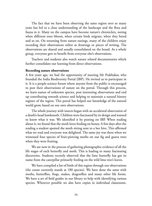The fact that we have been observing the same region over so many years has led to a close understanding of the landscape and the flora and fauna in it. Many on the campus have become nature's chroniclers, noting when different trees bloom, when certain birds migrate, when they breed and so on. On returning from nature outings, many of the children enjoy recording their observations either as drawings or pieces of writing. The observations are shared and usually consolidated on the board. As a whole group, everyone gets to benefit from everyone else's observations.

Teachers and students also watch nature related documentaries which further consolidate our learning from direct observations.

#### **Recording nature observations**

A few years ago, we had the opportunity of meeting Mr Prabhakar, who founded the India Biodiversity Portal (IBP). He invited us to participate in it. It is a people-science forum where anyone from the public is encouraged to post their observations of nature on the portal. Through this process, we learn names of unknown species, post interesting observations and end up contributing towards science and helping to maintain a natural history register of the region. This portal has helped our knowledge of the natural world grow, based on our own observations.

The whole journey with insects began with an accidental observation of a death's-head hawkmoth. Children were fascinated by its design and wanted to know what it was. We identified it by posting on IBP. When reading about it, we found that the moth loves feeding on honey. A few days after the reading a student spotted the moth sitting next to a bee hive. This affirmed what we read and everyone was delighted. The same joy was there when we witnessed four species of fruit-piercing moths on our fig and guava trees when they were fruiting.

We are now in the process of gathering photographic evidence of all the life stages of each butterfly and moth. This is leading to many fascinating discoveries. Students recently observed that the lime butterfly has got its name from the caterpillar primarily feeding on the wild lime tree's leaves.

We have compiled a list of birds of this region through our observations (the count currently stands at 180 species). We have done the same with moths, butterflies, frogs, snakes, dragonflies and many other life forms. We have a set of field guides in our library to help with identifying various species. Wherever possible we also have copies in individual classrooms.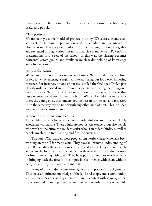Recent small publications in Tamil of various life forms have been very useful and popular.

#### **Class projects**

We frequently use the model of projects to study. We select a theme such as insects or farming or pollination, and the children are encouraged to observe as much as they can outdoors. All the learning is brought together and presented through various means such as charts, models and PowerPoint presentations to the rest of the school. In this way, the sharing becomes horizontal across groups and results in much wider holding of knowledge and observations.

#### **Respect for nature**

We try and instil respect for nature at all times. We try and create a culture of respect while entering a region and to not bring our loud over-imposing presence. For instance, on one of our trails called the Owl-rock Trail, a pair of eagle owls had nested and we found the parent pair rearing the young ones on a bare rock. We made this trail out-of-bounds for several weeks so that our presence would not distress the birds. While all children were curious to see the young ones, they understood the reason for the ban and respected it. In the same way, we do not disturb any other kind of nest. This included wasp nests in a classroom too.

#### **Interaction with passionate adults**

The children have a lot of interactions with adults whose lives are closely associated with nature. These adults are not just the teachers, but also people who work at the farm, the resident artist who is an ardent birder, as well as people involved in tree planting and fire line cutting.

The Forest Way trust employs people from nearby villages who have been working on the hill for many years. They have an intimate understanding of the hill, including the various caves, streams and groves. They are completely at ease in the forest and are very skilled in their work. Our children learn a lot from interacting with them. They have put in a lifetime's worth of work in bringing back the forests. It is impossible to interact with them without being touched by their work and interest.

Many of our children come from agrarian and pastoralist backgrounds. They have an intimate knowledge of the land and crops, and a communion with animals. Besides, as they are in continuous contact with so many adults for whom understanding of nature and interaction with it is an essential life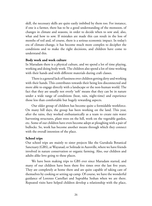skill, the necessary skills are quite easily imbibed by them too. For instance, if one is a farmer, there has to be a good understanding of the monsoon, of changes in climate and seasons, in order to decide when to sow and, also, what and how to sow. If mistakes are made this can result in the loss of months of toil and, of course, there is a serious economic impact. In today's era of climate-change, it has become much more complex to decipher the conditions and to make the right decisions, and children have come to understand this.

#### **Body work and work culture**

In Marudam there is a physical culture, and we spend a lot of time playing, working and doing body work. The children also spend a lot of time working with their hands and with different materials during craft classes.

There is a general lack of fussiness over children getting dirty and working with their hands. This contributes towards their being less disconnected and more able to engage directly with a landscape or the non-human world. The fact that they are usually not overly 'soft' means that they can be in nature under a wide range of conditions (heat, rain, night-time) and experience those less than comfortable but hugely rewarding aspects.

Our older group of children has become quite a formidable workforce. On many hill days, the group has been working on the land. This year, after the rains, they worked enthusiastically as a team to create rain water harvesting structures, plant trees on the hill, work on the vegetable garden, etc. Some of our children have even become adept at ploughing with a pair of bullocks. So, work has become another means through which they connect with the overall intention of the place.

#### **School trips**

Our school trips are mainly to sister projects like the Gurukula Botanical Sanctuary (GBS), at Wayanad, or Solitude in Auroville, where we have friends involved in nature conservation or organic farming. Also, our children and adults alike love going to these places.

We have been making trips to GBS ever since Marudam started, and many of our children have been there five times over the last five years. They are completely at home there and are quite capable of taking care of themselves by cooking or setting up camp. Of course, we have the wonderful guidance of Lorenzo Castellari and Suprabha Seshan when we are there. Repeated visits have helped children develop a relationship with the place,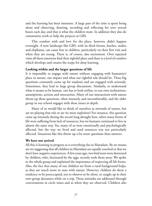and the learning has been immense. A large part of the time is spent being alone and observing, drawing, recording and reflecting for over several hours each day, and that is what the children want. In addition they also do community work to help the projects at GBS.

This comfort with and love for the place, however, didn't happen overnight. A new landscape like GBS, with its thick forests, leaches, snakes and elephants, can cause fear in children, particularly on their first visit and when they are young. There is, of course, also excitement. Over repeated visits all these emotions find their rightful place and there is a level of comfort which develops and creates the scope for deep learning.

### **Looking within and the larger questions of life**

It is impossible to engage with nature without engaging with humanity's place in nature, our impact and what our rightful role should be. These big questions constantly come up for students and are engaged with seriously. Sometimes, they lead to large group discussions. Similarly, to understand what it means to be human, one has to look within, to our own inclinations, assumptions, actions and insecurities. Many of our interactions with nature throw up these questions, often intensely and uncomfortably, and the older group in our school engages with these issues in depth.

Many of us would like to think of ourselves as stewards of nature, but are we playing that role or are we mere exploiters? For instance, this question came up intensely during the recent long drought here, when many forms of life were suffering from lack of resources, but we humans continued to live in almost the same way. Yes, many of us were emotionally and psychologically affected, but the way we lived and used resources was not particularly affected. Situations like this throw up a lot more questions than answers.

### **We have not arrived**

All this is learning in progress as is everything else in Marudam. By no means are we suggesting that all children in Marudam are equally touched or that we don't have negative experiences. A few years ago, two bird nests were destroyed by children, who, fascinated by the eggs, secretly took them away. We spoke to the whole group and explained the importance of respecting all life forms. Also, the fact that many of our children are from a rural background helps, as they are much more in tune with nature. However, children do show a tendency to be preoccupied, not to observe or be silent, or caught up in their own group dynamics while on a trip. These attitudes are addressed through conversations in circle times and as when they are observed. Children also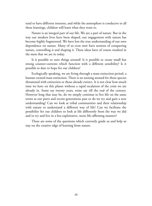tend to have different interests, and while the atmosphere is conducive to all these learnings, children will learn what they want to.

Nature is an integral part of our life. We are a part of nature. But in the way our modern lives have been shaped, our engagement with nature has become highly fragmented. We have lost the true understanding of our own dependence on nature. Many of us even now have notions of conquering nature, controlling it and shaping it. These ideas have of course resulted in the mess that we are in today.

Is it possible to turn things around? Is it possible to create small but strong counter-currents which function with a different sensibility? Is it possible to dare to hope for our children?

Ecologically speaking, we are living through a mass extinction period: a human created mass extinction. There is no turning around for those species threatened with extinction or those already extinct. It is not clear how much time we have on this planet without a rapid escalation of the crisis we are already in. Some say twenty years, some say till the end of the century. However long that may be, do we simply continue to live life on the same terms as our peers and recent generations past or do we try and gain a new understanding? Can we look at tribal communities and their relationship with nature to understand a different way of life? Can we facilitate the possibility for our children to look at life differently from the way we did and to try and live in a less exploitative, more life-affirming manner?

These are some of the questions which currently guide us and help us stay on the creative edge of learning from nature.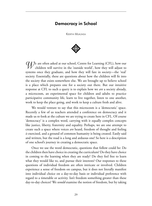### Democracy in School

Keerthi Mukunda



*W*e are often asked at our school, Centre for Learning (CFL), how our children will survive in the 'outside world', how they will adjust to systems once they graduate, and how they will fare in society—the 'real' society. Essentially, these are questions about how the children will fit into the society that exists somewhere else. We are brought up to believe school is a place which prepares one for a society out there. But our intuitive response at CFL to such a query is to explain how we *are* a society already, a microcosm, an experimental space for children and adults to practice participative community life, learn to live together, listen to one another, work to keep the place going, and work to keep a culture fresh and alive.

We would venture to say that this microcosm is a 'democratic' space. Recently a few of us teachers attended a conference on democracy and it made us re-look at the culture we are trying to create here in CFL. Of course 'democracy' is a complex word, carrying with it equally complex concepts like justice, liberty, fraternity and equality. Perhaps, we are one attempt to create such a space where voices *are* heard, freedom of thought and feeling *is* exercised, and a ground of common humanity is being created. Easily said and written, but the road is a long and arduous one! So here is a description of one school's journey in creating a democratic space.

Once we use the word democratic, questions that follow could be: Do the children then have choice in creating the curriculum? Do they have choice in coming to the learning when they are ready? Do they feel free to learn what they would like to, and pursue their interests? Our responses to these questions of individual freedom are often intricate or involved. Children experience a sense of freedom on campus, but it does not literally manifest into individual choice on a day-to-day basis or individual preference with regard to a timetable or activity. Isn't freedom something greater than these day-to-day choices? We *would* examine the notion of freedom, but by taking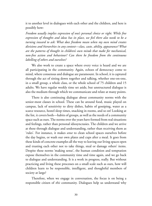it to another level in dialogues with each other and the children, and here is possibly how:

*Freedom usually implies expression of one's personal choice or right. While free expression of thoughts and ideas has its place, we feel there also needs to be a turning inward to ask: What does freedom mean when my own mind creates divisions and hierarchies in any context—class, caste, ability, appearance? What are the patterns of thought in children's own minds that make for mechanical, non-free action and behaviour? Can there be freedom from the continuous labelling of others and ourselves?*

We also work to create a space where every voice is heard and we are all participating in the community. Again, echoes of democracy come to mind, where consensus and dialogue are paramount. In school, it is captured through the act of sitting down together and talking, whether one-on-one, in a small group, a whole class, or the whole school of 75 children and 15 adults. We have regular weekly time set aside, but unstructured dialogue is also the medium through which we communicate and relate at many points.

There is also continuing dialogue about community norms with the senior-most classes in school. These can be around food, music played on campus, lack of sensitivity to dirty dishes, habits of gossiping, water as a scarce resource, hostel sleep times, snacking in rooms, and so on! Looking at the list, it covers both—habits of groups, as well as the needs of a community space such as ours. The norms over the years have formed from real situations and feelings, rather than personal idiosyncrasies. The children and we arrive at these through dialogue and understanding, rather than receiving them as 'rules'. For instance, it makes *sense* to clean school spaces ourselves before the day begins, or wash our own plates and cups after a meal. It goes from these kinds of concrete examples all the way to leaving our living spaces open and trusting each other not to take things, steal or damage others' items. Despite these norms 'making sense', the human condition and temptation expose themselves in the community time and time again, and we go back to dialogue and understanding. It is a work in progress, really. But without practicing and living these processes on a small scale such as ours, how will children learn to be responsible, intelligent, and thoughtful members of society at large?

Therefore, when we engage in conversation, the focus is on being a responsible citizen of *this* community. Dialogues help us understand why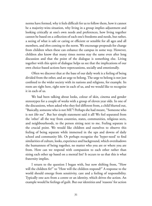norms have formed, why it feels difficult for us to follow them, how it cannot be a majority-wins situation, why living in a group implies adjustment and looking critically at one's own needs and preferences, how living together cannot be based on a collection of each one's freedoms and needs, but rather, a seeing of what is safe or caring or efficient or sensible for all ages and all members, and *then* coming to the norm. We encourage proposals for change from children when these can enhance the campus in some way. However, children also know that many times norms stay the same even after long discussion and that the point of the dialogue is something else. Living together with this spirit of dialogue helps us see that the implications of our own choice-based actions have repercussions, socially and emotionally.

Often we discover that at the base of our daily work is a feeling of being divided from the other, and an urge to belong. The urge to belong is not just confined to the wider society with its nations and religions, for example. Its roots are right here, right now in each of us, and we would like to recognize it in each of us.

We had been talking about looks, colour of skin, cinema and gender stereotypes for a couple of weeks with a group of eleven year olds. In one of the discussions, when asked who they feel different from, a child blurted out, "Basically, someone who is not ME"! Perhaps she had meant, "Someone who is not *like* me". But her simple statement said it all! We feel separated from the 'other' all the way from countries, states, communities, religious sects, and neighbourhoods, to the person sitting next to me. Feeling separate is the crucial point. We would like children and ourselves to observe this feeling of being separate while immersed in the ups and downs of daily school and community life. Or perhaps recognize the 'hyper-need' to find similarities of culture, looks, experience and background, which overshadows the humanness of being together, no matter who you are or where you are from. How can we respond with compassion to each other rather than sizing each other up based on a mental list? It occurs to us that this is what fraternity implies.

I return to the question I began with, but now shifting from, "How will the children fit?" to "How will the children respond?" A response to the world should emerge from sensitivity, care and a feeling of responsibility. Typically one acts from a centre or an identity, which drives the action. An example would be feelings of guilt. But our identities and 'reasons' for action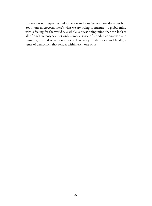can narrow our responses and somehow make us feel we have 'done our bit'. So, in our microcosm, here's what we are trying to nurture**—**a global mind with a feeling for the world as a whole; a questioning mind that can look at all of one's stereotypes, not only some; a sense of wonder, connection and humility; a mind which does not seek security in identities; and finally, a sense of democracy that resides within each one of us.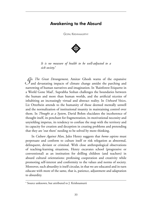### Awakening to the Absurd

Gopal Krishnamurthy



*It is no measure of health to be well-adjusted to a sick society.*<sup>∗</sup>

*I*<sup>n</sup>*The Great Derangement,* Amitav Ghosh warns of the expansive and devastating impacts of climate change amidst the parching and narrowing of human narratives and imagination. In 'Rainforest Etiquette in a World Gone Mad', Suprabha Seshan challenges the boundaries between the human and more than human worlds, and the artificial niceties of inhabiting an increasingly virtual and abstract reality. In *Unheard Voices*, Liz Otterbein attends to the humanity of those deemed mentally unwell and the normalization of institutional insanity in maintaining control over them. In *Thought as a System*, David Bohm elucidates the incoherence of thought itself, its penchant for fragmentation, its motivational necessity and unyielding impetus, its tendency to confuse the map with the territory and its capacity for creation and deception in creating problems and pretending that they are 'out there' needing to be solved by more thinking.

In *Culture Against Man*, Jules Henry suggests that *homo sapiens* must perpetuate and conform to culture itself or risk relegation as abnormal, delinquent, deviant or criminal. With close anthropological observations of teaching-learning situations, Henry excavates school (progressive or conventional) as an institution for drilling children (and teachers) in absurd cultural orientations: professing cooperation and creativity while promoting self-interest and conformity to the values and norms of society. Moreover, such absurdity is itself circular, in that we are educated and in turn educate with more of the same, that is, patience, adjustment and adaptation to absurdity.

<sup>\*</sup> Source unknown, but attributed to J. Krishnamurti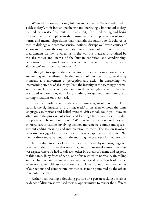When education equips us (children and adults) to "be well-adjusted to a sick society", to fit into an incoherent and increasingly impractical society, then education itself commits us to absurdity; for in educating and being educated, we are complicit in the transmission and reproduction of social norms and mental dispositions that maintain the status quo. It behoves us then to dislodge our commonsensical notions, disrupt well-worn courses of action and disavow the easy temptation to meet our collective or individual predicaments on their own terms. If the world is made and sustained by the absurdities and inertia of the human condition and conditioning, perpetuated in the small moments of our actions and interactions, can it also be *undone* in the small moments?

I thought to explore these concerns with students in a course called 'Awakening to the Absurd'. In the context of this discussion, *awakening* is meant as a movement of perception and action in unravelling two intertwining strands of absurdity: First, the insanity in the seemingly normal and reasonable, and second, the sanity in the seemingly aberrant. The class was based on attention, not taking anything for granted, questioning and turning situations on their head.

If an alien without any teeth were to visit you, would you be able to teach it the significance of brushing teeth? If an alien without the same language, assumptions and beliefs were to visit school, could you draw its attention to the processes of school and learning? In the world as it is today, is it possible to be in it but not of it? We observed and enacted ordinary and extraordinary situations involving actions, movements, sounds and speech, without adding meaning and interpretation to them. The session involved eight students (ages fourteen to sixteen), a teacher apprentice and myself. We met for three and a half hours in the morning, twice a week for two months.

To dislodge our sense of identity, the course began by our assigning each other with absurd names that were anagrams of our usual names. The class was a space where we had to call each other by our absurd name and respond to this name. If, by force of habit, one of us resorted to normality (in calling another by our familiar names), we were relegated to a 'bench of shame' where we had to hold our head in our hands, lament about the consequences of our actions and demonstrate remorse so as to be permitted by the others to re-enter the class.

Rather than treating a slouching posture or a person rocking a chair as evidence of disinterest, we used these as opportunities to mirror the different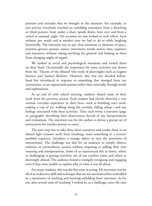postures and attitudes that we brought to the situation. For example, in one activity everybody watched an unfolding enactment from a slouching or tilted posture, from under a chair, upside down, bent over and from a varied or unusual angle. On occasion we just looked at each others' faces without any words and at another time we had to do so while laughing hysterically. The intention was to pay close attention to elements of space, position, gesture, posture, stance, movement, words, names, time, sequence and narratives without taking anything for granted and looking at these from changing angles of regard.

We looked at social and psychological situations and turned them on their head. Occasionally the inspiration for some activities was drawn from the 'Theatre of the Absurd' (the work of playwrights such as Eugene Ionesco and Samuel Beckett). However, this was not decided beforehand but introduced in response to something that emerged from our interactions, in an experiential manner rather than rationally through words and explanations.

At an end of term school meeting, students shared some of their work from the previous session. Each student had closely observed a very normal, everyday experience in their lives—such as brushing one's teeth, making a cup of tea, walking along the corridor, falling asleep—and any feelings associated with these activities. They each wrote a narrative (page or paragraph) describing their observations devoid of any interpretations and evaluations. The intention was for the author to devise a precise set of instructions for another person to enact.

The next step was to take these short narratives and render them in an absurd light (remove teeth from brushing, enact something in a reverse/ jumbled sequence, introduce a strange object or vary the proximity of interactions). The challenge was also for an audience to simply observe ordinary or extraordinary actions without imposing or adding their own meaning and interpretations. Some of us experienced this as funny, others as challenging in getting ourselves out of our comfort zones and others as downright absurd. The audience found it strangely intriguing and engaging even if they were unable to explain why or what it was all about.

For many students, this was the first time in acting. My intention was for all of us to discover skill and technique that are not mechanical but embedded in a movement of teaching and learning unfolding from attention. As for me, after several years of 'teaching' I wished to, as a challenge, enter the class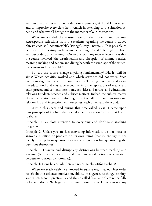without any plan (even to put aside prior experience, skill and knowledge), and to improvise every class from scratch in attending to the situation athand and what we all brought to the moments of our interactions.

What impact did the course have on the students and on me? Retrospective reflections from the students regarding the course included phrases such as 'uncomfortable', 'strange', 'easy', 'natural', "It is possible to be interested in a story without understanding it" and "life might be lived without adding any meaning". On recollection, my own reflection was that the course involved "the disorientation and disruption of commonsensical meaning-making and action, and diving beneath the wreckage of the settled, the known and the possible".

But did the course change anything fundamentally? Did it fulfil its aims? Which activities worked and which activities did not work? Such questions align themselves with our quest for 'learning outcomes' and recast the educational and educative encounter into the separations of means and ends; process and content; intentions, activities and results; and educational relations (student, teacher and subject matter). Indeed the subject matter of the course itself was its unfolding impact on all of us and our on-going relationship and interaction with ourselves, each other, and the world.

Within this space and during this time called 'class', I came upon four principles of teaching that served as an invocation for me, that I wish to share:

Principle 1: Pay close attention to everything and don't take anything for granted.

Principle 2: Unless you are just conveying information, do not meet or answer a question or problem on its own terms (that is, enquiry is not merely moving from question to answer to question but questioning the questions themselves).

Principle 3: Disavow and disrupt any distinctions between teaching and learning (both student-centred and teacher-centred notions of education perpetuate spurious dichotomies).

Principle 4: Don't be absurd; there are no principles of/for teaching!

When we teach safely, we proceed in such a way that our first-order beliefs about excellence, motivation, ability, intelligence, teaching, learning, academics, school, practicality and the so-called 'real world' are never fully called into doubt. We begin with an assumption that we know a great many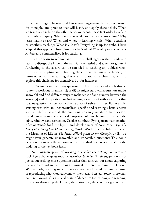first-order things to be true, and hence, teaching essentially involves a search for principles and practices that will justify and apply these beliefs. When we teach with risk, on the other hand, we expose these first-order beliefs to the perils of inquiry. What does it look like to uncover a curriculum? Why learn maths or art? When and where is learning visible? What occasions or smothers teaching? What is a 'class'? Everything is up for grabs. I have adapted this approach from James Rachel's *Moral Philosophy as a Subversive Activity* and contextualized it for teaching.

Can we learn to reframe and turn our challenges on their heads and teach to disrupt the known, the familiar, the settled and taken for granted? Awakening to the absurd can be extended to teaching any subject when it involves disrupting and reframing the curriculum (visible or hidden) in terms other than the learning that it aims to attain. Teachers may wish to explore this challenge for themselves but for instance:

(i) We might start with any question and find different and wildly diverse routes to work out its answer[s]; or (ii) we might start with a question and its answer[s] and find different ways to make sense of and traverse between the answer[s] and the question; or (iii) we might even start with an answer that spawns questions across vastly diverse areas of subject matter. For example, starting even with an uncontexualized, specific and seemingly banal answer such as "42" what are all the questions we can generate? (The questions could range from the chemical properties of molybdenum, the periodic table, rainbows and refraction, Catalan numbers, Pythagorean mathematics, *Alice in Wonderland*, the layout and development of New York City, *The Diary of a Young Girl* (Anne Frank), World War II, the Kabbalah and even the Meaning of Life in *The Hitch Hiker's guide to the Galaxy*!), or (iv) we might even generate unanswerable and impossible questions? This could occasion not merely the undoing of the proverbial 'textbook answer' but the undoing of the textbook itself.

Neil Postman speaks of *Teaching as a Subversive Activity*. William and Rick Ayers challenge us towards *Teaching the Taboo*. Their suggestion is not just about seeking more questions rather than answers but about exploring the world around and within us in unusual, irreverent and impossible ways. With schools, teaching and curricula so resolutely focused on demonstrating or reproducing what we already know (the tried and tested), today, more than ever, 'not knowing' is a crucial point of departure for learning and teaching. It calls for disrupting the known, the status quo, the taken for granted and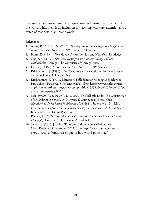the familiar, and for reframing our questions and terms of engagement with the world. This, then, is an invitation for teaching with care, attention and a touch of madness in an insane world.

### **References**

- 1. Ayers, R., & Ayers, W. (2011). *Teaching the Taboo: Courage and Imagination in the Classroom*. New York, NY: Teachers College Press.
- 2. Bohm, D. (1994). *Thought as a System*. London and New York: Routledge.
- 3. Ghosh, A. (2017). *The Great Derangement: Climate Change and the Unthinkable*. Chicago: The University of Chicago Press.
- 4. Henry, J. (1963). *Culture against Man.* New York, NY: Vintage.
- 5. Krishnamurti, J. (1996). 'Can We Create A New Culture?' In *Total freedom.* San Francisco, CA: Harper One.
- 6. Krishnamurti, J. (1979). Education. Fifth Seminar Meeting at Brockwood Park School. Retrieved 5 November 2017, from http://www.jkrishnamurti. org/krishnamurti-teachings/view-text.php?tid=1353&chid=1052&w=%22pu t+you+on+a+pedestal%22
- 7. McDermott, R., & Raley, J. D. (2009). 'The Tell-tale Body: The Constitution of Disabilities in School. In W. Ayers, T. Quinn, & D. Stoval (Eds.), *Handbook of Social Justice in Education* (pp. 431–45). Mahwah, NJ: LEA.
- 8. Otterbein, L. *Unheard Voices: Journal of a Psychiatric Nurse*. CA: CreateSpace Independent Publishing Platform.
- 9. Rachels, J. (1997). *Can Ethics Provide Answers?: And Other Essays in Moral Philosophy*. Lanham, MD: Rowman & Littlefield.
- 10. Seshan, S. (2016, July 24). 'Rainforest Etiquette in a World Gone Mad'. Retrieved 5 November, 2017, from http://www.countercurrents. org/2016/07/23/rainforest-etiquette-in-a-world-gone-mad/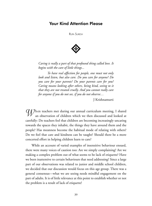# Your Kind Attention Please

Rupa Suresh



*Caring is really a part of that profound thing called love. It begins with the care of little things...*

*To have real affection for people, one must not only look and listen, but also care. Do you care for anyone? Do you care for your parents? Do your parents care for you? Caring means looking after others, being kind, seeing to it that they are not treated cruelly. And you cannot really care for anyone if you do not see, if you do not observe…*

J Krishnamurti

*W*hen teachers met during our annual curriculum meeting, I shared an observation of children which we then discussed and looked at carefully: Do teachers feel that children are becoming increasingly uncaring towards the spaces they inhabit, the things they have around them and the people? Has meanness become the habitual mode of relating with others? Do we feel that care and kindness can be taught? Should there be a more concerted effort in helping children learn to care?

While an account of varied examples of insensitive behaviour ensued, there were many voices of caution too: Are we simply complaining? Are we making a complex problem out of what seems to be lack of etiquette? Have we been inattentive to certain behaviours that need addressing? Since a large part of our observations was related to junior and middle school children, we decided that our discussion would focus on this age group. There was a general consensus—what we are seeing needs mindful engagement on the part of adults. It is of little relevance at this point to establish whether or not the problem is a result of lack of etiquette!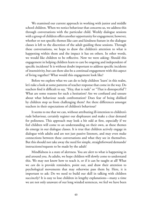We examined our current approach in working with junior and middle school children. When we notice behaviour that concerns us, we address this through conversations with the particular child. Weekly dialogue sessions with a group of children offers another opportunity for engagement; however, whether or not specific themes like care and kindness feature in the dialogue classes is left to the discretion of the adult guiding these sessions. Through these conversations, we hope to draw the children's attention to what is happening within them and the impact it has on others. In other words, we would like children to be reflective. Now we were asking: Should this engagement in helping children learn to care be ongoing and independent of specific incidents? It is without doubt important to address specific incidents of insensitivity, but can there also be a continual engagement with this aspect of living together? What would this engagement look like?

Before we explore what we can do to help children 'learn' in this realm, let's take a look at some patterns of teacher response that come in the way. Do teachers find it difficult to say, "Hey, that is rude" or "That is disrespectful"? What are some reasons for such a hesitation? Are we confused and unsure about what behaviour needs confrontation? Does fear of being disliked by children stop us from challenging them? Are there differences amongst teachers in their expectations of children's behaviour?

It seems to me that we can, without attributing ill-intention to children's rude behaviour, certainly register our displeasure and make a clear demand for politeness. This approach may look a bit odd at first, especially if we feel children will come to an understanding on their own, as these themes do emerge in our dialogue classes. It is true that children actively engage in dialogue with adults and are not just passive listeners, and may even make connections between these conversations and what they see in themselves. But this should not take away the need for simple, straightforward demands/ instructions/requests to be made by the adult!

Mindfulness is a state of alertness. You are alert to what is happening in and around you. As adults, we hope children will slowly come to understand this. We may not know how to teach it, or if it can be taught at all! What we *can* do is provide reminders, point out, and draw their attention to psychological movements that may otherwise pass them by. Here, it is important to ask: Do we need to build our skill in talking with children succinctly? It is easy to lose children in lengthy explanations—many a time we are not only unaware of our long winded sentences, we feel we have been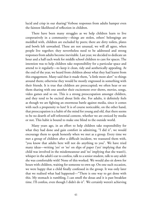lucid and crisp in our sharing! Verbose responses from adults hamper even the faintest likelihood of reflection in children.

There have been many struggles as we help children learn to live cooperatively in a community—things are stolen, others' belongings are meddled with, children are excluded by peers; there are dirty toilets, plates and bowls left unwashed. These are not unusual, we will all agree, when people live together; they nevertheless need to be addressed and strong responses from adults become inevitable. Last year, we decided to dedicate an hour and a half each week for middle school children to care for spaces. The intention was to help children take responsibility for a particular space and attend to it regularly—to keep it clean, tidy and aesthetically appealing. At the end of the year, we heard from children about what they had learnt from this engagement. Many said that it made them, "a little more alert" to things around them; otherwise they would be mostly engrossed in something with their friends. It is true that children are preoccupied; we often hear or see them sharing with one another their excitement over shows, movies, songs, video games and so on. This is a strong preoccupation amongst children, and they tend to be excited about little else. For adults, it definitely feels as though we are fighting an enormous battle against media, since it comes with such a propensity to lure! It is of course noticeable, on the other hand, that preoccupation is a habit of the mind for young and old, that there seems to be no dearth of self-referential content, whether we are enticed by media or not. This habit is bound to make one blind to the outside world.

Many years ago, in an effort to help children take responsibility for what they had done and gain comfort in admitting, "I did it", we would encourage them to speak honestly when we met as a group. Every time we met a group of children after a difficult incident, we reassured them with, "you know that adults here will not do anything to you". We have tried many ideas—writing 'yes' or 'no' on slips of paper ('yes' implying that the child was involved in the misdemeanour and 'no' implying that she wasn't), whisper in the adult's ear to confess, talk to a senior student, talk to any adult she was comfortable with! None of this worked. We would also sit down for hours with children, waiting for someone to own up. On one such occasion, we were happy that a child finally confessed in the group. It was only later that we realised what had happened—"There is one way to get done with this. My stomach is rumbling, I can smell the dosas and it is past breakfast time. I'll confess, even though I didn't do it"*.* We certainly weren't achieving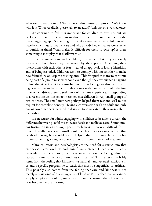what we had set out to do! We also tried this amusing approach, "We know who it is. Whoever did it, please talk to an adult!" This last one worked once.

We continue to feel it is important for children to own up, but are no longer certain of the various methods in the list I have described in the preceding paragraph. Something is amiss if we need to reassure children who have been with us for many years and who already know that we won't resort to punishing them! What makes it difficult for them to own up? Is there something else at play that disallows this?

In our conversations with children, it emerged that they are overly concerned about how they are viewed by their peers. Underlying their interactions with each other is fear—fear of disapproval, of losing friendship and of being excluded. Children seem to comply with one another to make new friendships or keep the existing ones. This fear pushes many to continue being part of a group misdemeanour, even though they experience a nagging feeling that it isn't right to be involved in it. This feeling can also coexist with high excitement—there is a thrill that comes with 'not being caught' the first time, which drives them to seek more of the same experience. In responding to a recent incident in school, teachers met children in very small groups of two or three. The small numbers perhaps helped them respond well to our request for complete honesty. Having a conversation with an adult and only one or two other peers seemed to dissolve, to some extent, their worry about each other.

It is necessary for adults engaging with children to be able to discern the difference between playful mischievous deeds and malicious acts. Sometimes, our frustration in witnessing repeated misbehaviour makes it difficult for us to see this difference; every small prank then becomes a serious concern that needs addressing. It is valuable to also help children distinguish between what makes something a naughty prank and what makes it an act of meanness.

Many educators and psychologists see the need for a curriculum that emphasises care, kindness and mindfulness. When I read about such a curriculum on the internet, there was an uncomfortable feeling, almost a reaction in me to the words 'kindness curriculum'. This reaction probably stems from the feeling that kindness is a 'natural' (and yet rare?) attribute in us and a specific programme to teach this must be superficial or artificial. This possibly also comes from the feeling that care and kindness is not merely an outcome of practising a list of kind acts! It is clear that we cannot simply adopt a curriculum, implement it, and be assured that children will now become kind and caring.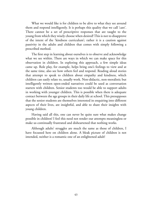What we would like is for children to be alive to what they see around them and respond intelligently. It is perhaps this quality that we call 'care'. There cannot be a set of prescriptive responses that are taught to the young from which they wisely choose when desired! This is not to disapprove of the intent of the 'kindness curriculum'; rather it is a caution against passivity in the adults and children that comes with simply following a prescribed method.

The first step in learning about ourselves is to observe and acknowledge what we see within. There are ways in which we can make space for this observation in children. In exploring this approach, a few simple ideas came up. Role play, for example, helps bring one's feelings to view and at the same time, also see how others feel and respond. Reading aloud stories that attempt to speak to children about empathy and kindness, which children can easily relate to, usually work. Non-didactic, non-moralistic but intelligently written open-ended narratives could be used as conversation starters with children. Senior students too would be able to support adults in working with younger children. This is possible when there is adequate contact between the age groups in their daily life at school. This presupposes that the senior students are themselves interested in enquiring into different aspects of their lives, are insightful, and able to share their insights with young children.

Having said all this, one can never be quite sure what makes change possible in children! I feel this need not render our attempts meaningless or make us continually frustrated and disheartened that nothing works.

Although adults' struggles are much the same as those of children, I have focussed here on children alone. A bleak picture of children is not intended, neither is a romantic one of an enlightened adult!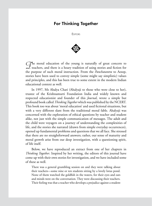# For Thinking Together

**EDITORS** 



*T*he moral education of the young is naturally of great concern to teachers, and there is a hoary tradition of using stories and fiction for the purpose of such moral instruction. From the *Panchatantra* to Aesop, stories have been used to convey simple (some might say simplistic) values and principles, and this has been true to some extent in the modern Indian educational context as well.

In 1997, Ms Ahalya Chari (Ahalyaji to those who were close to her), trustee of the Krishnamurti Foundation India and widely known and respected educationist and founder of this *Journal*, wrote a simple but profound book called *Thinking Together* which was published by the NCERT. This book too was about 'moral education' and used fictional situations, but with a very different slant from the traditional moral fable. Ahalyaji was concerned with the exploration of ethical questions by teacher and student alike, not just with the simple communication of messages. The adult and the child were voyagers on a journey of understanding the complexities of life, and the stories she narrated (drawn from simple everyday occurrences), opened up fundamental problems and questions that we all face. She stressed that there are no straightforward answers; rather, our sense of maturity and moral growth arise from our deep investigation, with a questioning spirit, of life itself.

Below, we have reproduced an extract from one of her chapters in *Thinking Together*. Inspired by her writing, the editors of this journal have come up with their own stories for investigation, and we have included some of these as well.

There was a general grumbling session on and they were talking about their teachers—some nine or ten students sitting by a lovely lotus pond. None of them watched the goldfish in the waters, for their eyes and ears and minds were on the conversation. They were discussing their teachers. Their feeling was that a teacher who develops a prejudice against a student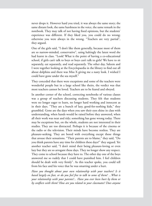never drops it. However hard you tried, it was always the same story; the same distant look, the same harshness in the voice, the same remark in the notebook. They may talk of not having fixed opinions, but the students' experience was different. If they liked you, you could do no wrong; otherwise you were always in the wrong. "Teachers are very partial", they argued.

One of the girls said, "I don't like them generally, because most of them are so narrow-minded, conservative", using haltingly the latest word she had learnt in class. "Look! What is the point of having a co-educational school, if girls can't talk to boys or boys can't talk to girls? We have to sit separately, eat separately, and read separately. The other day, Saleem and I were together looking at the Encyclopaedia in the library to find out all about dolphins and there was Miss X giving me a nasty look. I wished I could have gone under the sea myself."

They conceded that there were exceptions and some of the teachers were wonderful people but in a large school like theirs, the verdict was that most teachers cannot be loved. Teachers are to be feared and obeyed.

In another corner of the school, correcting notebooks of various classes was a group of teachers discussing students. They felt that students were no longer eager to learn, no longer hard working and innocent as in their days. "They are a bunch of lazy, good-for-nothing kids," they grumbled. Gone are the days when you saw their eyes shine in class with understanding, when hands would be raised before they answered, when all their work was neat and tidy; something has gone wrong today. There may be exceptions but, on the whole, students are not interested in their studies. They are too distracted. Perhaps it is because of the cinema or the radio or the television. Their minds have become restless. They are pleasure-seeking. They are bored with everything except those things that arouse their sensations. "Their parents are to blame," they said, "Do you think parents have any time for children these days?'' they argued. Yet another teacher said, "I don't mind their being pleasure-loving or even lazy but they are so arrogant these days. They no longer show any respect. They come to school because they have to. The other day one of the boys answered me so rudely that I could have punished him. I feel children should be dealt with very firmly". As this teacher spoke, you could tell from his face and his voice that he was smarting under a hurt.

*Have you thought about your own relationship with your teachers? Is it based largely on fear, or do you feel free to talk to some of them? ...What is your relationship with your parents?... Have you ever been hurt by them or by conflicts with them? How are you related to your classmates? Does anyone*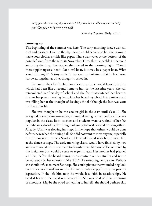*bully you? Are you very shy by nature? Why should you allow anyone to bully you? Can you not be strong yourself?*

*Thinking Together,* Ahalya Chari

#### **Growing up**

The beginning of the summer was here. The early morning breeze was still cool and pleasant. Later in the day the air would become so hot that it would make your clothes crinkle like paper. There was water at the bottom of the pond left over from the rains in November. Urmi threw a pebble in the pond annoying the frog. The ripples shimmered in the morning light. "Would these ripples upset a boat? Not a real boat, but may be a paper boat. What a weird thought!" A tiny smile lit her eyes up but immediately her brows furrowed together as other thoughts rushed in.

Five more days for the last board exam and she would leave this place which had been like a second home to her for the last nine years. She still remembered her first day of school and the fear that clutched her heart as she saw her parents leaving her to face her boarding school life. Similar dread was filling her at the thought of leaving school although the last two years had been terrible.

She was thought to be the coolest girl in the class until class 10. She was good at everything—studies, singing, dancing, games, and art. She was popular in the class. Both teachers and students were very fond of her. Yet here she was, dreading the thought of going to breakfast and meeting others. Already, Urmi was slowing her steps in the hope that others would be done before she reached the dining hall. She did not want to meet anyone; especially she did not want to meet Sandeep. He would plead with her to meet him at the dance cottage. The early morning classes would have finished by now and there would be no one there to disturb them. She would feel tempted by the invitation but would be sure to regret it later. Her mother had pleaded with her, before the board exams, to concentrate on her studies and not to be led astray by her emotions. She didn't like troubling her parents. Perhaps she should refuse to meet Sandeep. She could picture the wounded dog look on his face as she said 'no' to him. He was already deeply hurt by his parents' separation. If she left him now, he would lose faith in relationships. He needed her and she could not betray him. She was tired of these seesawing of emotions. Maybe she owed something to herself. She should perhaps skip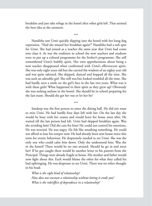breakfast and just take refuge in the hostel after other girls left. That seemed the best idea at the moment.

\*\*\*

Nanditha saw Urmi quickly slipping into the hostel with her hang dog expression. "Had she missed her breakfast again?" Nanditha had a soft spot for Urmi. She had joined as a teacher the same year that Urmi had come into class 4. As was the tradition in school the new teachers and students were to put up a cultural programme for the fresher's programme. She still remembered Urmi's bubbly spirit. Her own apprehensions about being a new teacher disappeared when confronted with Urmi's effervescent spirit. She was only eight years old but she carried the wisdom of an eighty year old and was quite talented. She skipped, danced and hopped all the time. She was such an adorable girl. She still was but looked troubled all the time. She had hardly seen a smile on the girl's face in the last two years. What was it with these girls? What happened to their spirit as they grew up? Obviously she was seeking asylum in the hostel. She should be in school preparing for the last exam. Should she get her out or let her be?

\*\*\*

Sandeep was the first person to enter the dining hall. He did not want to miss Urmi. He had hardly four days left with her. On the last day she would be busy with her exams and would leave for home soon after. He waited till the last person had left. Urmi had skipped breakfast again. Was she avoiding him? Did she care for him? He could not control his emotions. He was worried. He was angry. He felt like smashing something. He could not afford to lose his temper now. He had already been sent home twice this term for erratic behaviour. He desperately needed to see Urmi. She was the only one who could calm him down. Only she understood him. Was she in the hostel? There would be no one around. Should he go in and meet her? If he got caught there would be another letter to his parents from the Principal. Things were already fragile at home. His mother and father would now fight about this. Each would blame the other for what they called his bad upbringing. He was desperate to see Urmi. There was no other thought in his head.

*What is the right kind of relationship? How does one nurture a relationship without letting it erode you? What is the role/effect of dependence in a relationship?*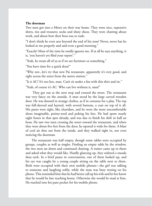#### **The doorman**

Two men got into a Metro on their way home. They wore nice, expensive shirts, ties and trousers; socks and shiny shoes. They were chatting about work, and about how their boss was so rude.

"I don't think he even sees beyond the end of his nose! Never, never has he looked at me properly and said even a good morning."

"Exactly! Most of the time he totally ignores me. If at all he says anything, it is, 'you haven't yet filed your report'*.*"

"Yeah, he treats all of us as if we are furniture or something."

"You have time for a quick dosa?"

"Why not...let's try that new Pai restaurant, apparently it's very good, and right across the street from the metro station."

"Is it AC? It's too hot, man. Can't sit under a fan with this shirt and tie."

"Yeah, of course it's AC. Who can live without it, man!"

 They got out at the next stop and crossed the street. The restaurant was very fancy on the outside. A man stood by the large carved wooden door. He was dressed in strange clothes, as if in costume for a play. The top was full-sleeved and layered, with several buttons, a coat on top of it all. His pants were tight, like churidars, and he wore the most uncomfortable shoes imaginable, pointy-toed and poking his feet. He had spent nearly eight hours in that spot already, and was due to finish his shift in half an hour. He saw two men crossing the street toward the restaurant, and when they were about five feet from the door, he opened it wide for them. A blast of cool air shot out from the inside, and they walked right in, not even noticing the doorman.

The restaurant was half empty, though some tables were occupied by groups, couples as well as singles. Finding an empty table by the window, the two men sat down and continued chatting. A waiter came up to them and asked what they would like. Hardly glancing up, they ordered a masala dosa each. In a brief pause in conversation, one of them looked up, and his eye was caught by a young couple sitting on the table next to them. Both were occupied with their own mobile phones—the girl was talking to someone and laughing softly, while the man was busy texting on his phone. This reminded him that he had better call up his wife and let her know that he would be late reaching home. Otherwise she would be mad at him. He reached into his pant pocket for his mobile phone.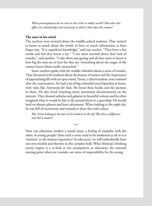*What preoccupations do we seem to live with in today's world? How does this affect our relationships and sensitivity to others? How does this matter?* 

#### **The stars in his mind**

The teachers were worried about the middle-school students. They seemed to know so much about the world, to have so much information at their finger-tips. "It is superficial knowledge," said one teacher. "They have a few words and feel they know a lot." "I am more worried about their lack of wonder," said another. "I take them star-gazing and all they want to know is how big the stars are or how far they are. Something about the magic of the cosmos leaves them totally untouched."

Some teachers spoke with the middle schoolers about a sense of wonder. They discussed with students about the beauty of nature and the importance of approaching life with an open mind. Tarun, a class 8 student, was confused after the conversation. He had a lot of big colourful encyclopaedias at home, with titles like *Astronomy for Kids*. He loved these books and the pictures in them. He also loved watching many astronomy documentaries on the internet. They showed nebulae and galaxies in beautiful colours and he often imagined what it would be like to fly around them in a spaceship. He would land on distant planets and have adventures. When looking at the night sky, he was full of excitement and wanted to share this with others.

*Was Tarun looking at the stars in his mind or in the sky? Was there a difference and did it matter?*

\*\*\*

How can education awaken a moral sense, a feeling of empathy with the other, in young people? Does such a sense need to be awakened at all or is it 'intrinsic' to the human experience? As educators, we will undoubtedly have our own models and theories in this complex field. What Ahalyaji's thinking stories inspire is a re-look at our assumptions as educators, the essential starting point when we consider our sense of responsibility for the young.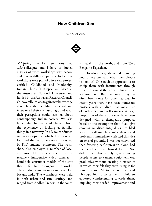# How Children See

DAVID MACDOUGALL



*D*uring the last few years two colleagues and I have conducted a series of video workshops with school children in different parts of India. The workshops were part of a five-year project entitled 'Childhood and Modernity: Indian Children's Perspectives' based at the Australian National University and funded by the Australian Research Council. Our overall aim was to gain new knowledge about how these children perceived and interpreted their surroundings, and what their perceptions could teach us about contemporary Indian society. We also hoped the children would benefit from the experience of looking at familiar things in a new way. In all, we conducted six workshops, of which I conducted four and the two others were conducted by PhD student volunteers. The workshops also employed a number of local assistants. The project made use of relatively inexpensive video cameras hand-held consumer models of the sort that is familiar throughout the world. The children came from a variety of class backgrounds. The workshops were held in both urban and rural settings and ranged from Andhra Pradesh in the south

to Ladakh in the north, and from West Bengal to Rajasthan.

How does one go about understanding how others see, and what they choose to look at? One obvious approach is to equip them with instruments through which to look at the world. This is what we attempted. But the same thing has often been done for other reasons. In recent years there have been numerous projects with children that make use of both video and still cameras. A large proportion of these appear to have been designed with a therapeutic purpose, based on the assumption that if you give cameras to disadvantaged or troubled youth it will somehow solve their social problems. I immediately rejected this idea on several grounds. I was not convinced that fostering self-expression alone had the benefits often claimed for it. Nor did I feel that simply giving young people access to camera equipment was productive without creating a structure in which they felt they were using it for some purpose. All too often, video and photographic projects with children appeared condescending towards them, implying they needed improvement and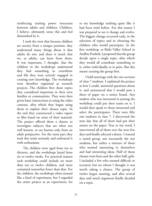reinforcing existing power structures between adults and children. Children, I believe, ultimately sense this and feel diminished by it.

I took the view that because children see society from a unique position, they understand many things about it that adults do not, and there is much that we, as adults, can learn from them. It was important, I thought, that the children in the workshops understood they had something to contribute and felt they were actively engaged in creating new knowledge. The workshops were therefore organised as research projects. The children first chose topics they considered important in their own families or communities. They were then given basic instructions in using the video cameras, after which they began using them to explore their chosen topic. In the end they constructed a video report or film based on some of their material. The project offered them a chance to investigate subjects that are often not well known, or are known only from an adult perspective. For the most part they took this remit seriously and embraced it with enthusiasm.

The children were aged from ten to thirteen, and the workshops lasted from six to twelve weeks. For practical reasons each workshop could include no more than ten or twelve children, and most contained somewhat fewer than that. For the children, the workshops often seemed like a kind of experiment, but I regarded the entire project as an experiment, for

to my knowledge nothing quite like it had been tried before. For this reason I was prepared to see it change and evolve. The biggest change occurred early, in the selection of topics and in choosing the children who would participate. In the first workshop, at Rishi Valley School in Andhra Pradesh, I proposed that the group decide upon a single topic, after which they would all contribute something to it, either individually or in pairs. But this meant creating the group first.

I held meetings with the two sections of class 7 students. I explained the project as best I could, answered questions about it, and announced that I would post a sheet of paper on a notice board. Any student who was interested in joining the workshop could put their name on it. I would then speak to those interested and select the participants. There were fifty one students in class 7. I discovered the next day that all of them had put their names on the paper. True to my word, I interviewed all of them over the next few days and finally selected a dozen. I wanted a varied group, not necessarily the star students, but rather a mixture of those who seemed interesting in themselves and had interesting ideas. Half of those chosen were boys and the other half, girls. I included a few who seemed difficult or eccentric but on whom I thought it was worth taking a chance. The group of twelve began meeting, and after several days and much argument finally decided on a topic.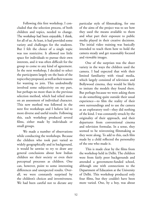Following this first workshop, I concluded that the selection process, of both children and topics, needed to change. The workshop had been enjoyable, I think, for all of us. At least, it had provided some variety and challenges for the students. But I felt the choice of a single topic was too restrictive. It allowed too little space for individuals to pursue their own interests, and it was often difficult for the group to come to any kind of agreement. In the next workshop, I decided to select the participants largely on the basis of the topics they proposed, as well as their reasons for wanting to join. This undoubtedly involved some subjectivity on my part, but perhaps no more than in the previous selection method, which had relied more on an assessment of individual character. This new method was followed in the next five workshops and I believe led to more diverse and useful results. Following this, each workshop produced several films, either made by individuals or small groups.

We made a number of observations while conducting the workshops. Because the children who took part varied so widely geographically and in background, it would be unwise to try to draw any general conclusions about how Indian children see their society or even their perceptual processes as children. One can, however, point to some interesting differences and unexpected results. Overall, we were constantly surprised by the children's choices and inventiveness. We had been careful not to dictate any

particular style of filmmaking, for one of the aims of the project was to see how they used the means available to them and what part their exposure to public media played in their creative decisions. The initial video training was basically intended to teach them how to hold the camera steady and get reasonably focused and viewable images.

One of the surprises was the sheer variety in the ways the children used the camera. I had expected that with their limited familiarity with visual media, which largely consisted of television and Bollywood cinema, they would be likely to imitate the models they found there. But perhaps because we were asking them to do something quite outside their usual experience—to film the reality of their own surroundings and to use the camera as an exploratory tool—they did nothing of the kind. I was constantly struck by the originality of their approach, and their departures from conventional cinema and television formulas. In a sense, they seemed to be reinventing filmmaking as they went along. To add to this, each film made by a child reflected the personality of the one who made it.

This is made clear by the films from the workshop held in Delhi. The children were from fairly poor backgrounds and attended a government-funded school, although one with connections to the Department of Education at the University of Delhi. This workshop produced only four films, but they couldn't have been more varied. One, by a boy, was about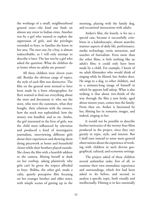the workings of a small, neighbourhood general store—the kind one finds on almost any street in Indian cities. Another was by a girl who wanted to explore the oppression of girls, and the privileges extended to boys, in families she knew in her area. The next one, by a boy, is almost indescribable, so I will only attempt to describe it later. The last was by a girl who asked the question: What do children do at home when no adults are present?

All these children were eleven years old. Besides the obvious range of topics, the style of each film was distinctive. The film on the general store seemed to have been made by a born ethnographer, for Ravi wanted to find out everything about the store and document it: who ran the store, who were the customers, what they bought, their relations with the owners, how the stock was replenished, how the money was handled, and so on. Anshu, the girl interested in the lives of girls, was the child most influenced by television and produced a kind of investigative journalism, interviewing different girls about their experiences and showing them doing piecework at home and household chores while their brothers played outside. She closes the film with a heartfelt address to the camera, filming herself at dusk on her rooftop, asking plaintively why girls can't be given the respect afforded to boys. Shikha, the other girl, made a calm, quietly perceptive film focusing on her younger brother and older sister, with simple scenes of getting up in the

morning, playing with the family dog, and occasional interactions with adults.

Aniket's film, the fourth, is for me a special case, because it successfully combines in a kaleidoscopic, almost anarchic manner aspects of daily life, performance, media technology, erotic attraction, and touches of Surrealism. Even more than the other films, it feels nothing like an adult's film; it could only have been made by a child. For example, I know of no adult filmmaker who would think of singing while he filmed, but Aniket does. He sings to a dog, to other children, and to a minutes-long image of himself in which he appears half asleep. What is also striking is that about two-thirds of the way through the film a new bride, aged about sixteen years, comes into the family. From then on, Aniket is fascinated by her, filming her in romantic images, and indeed, singing to her.

It would not be possible to describe further intricacies of the twenty-four films produced in the project, since they vary greatly in topic, style, and interest. But I shall turn instead to some more general observations about the experience of working with children in such diverse geographical, cultural, and economic settings.

The project asked of these children several unfamiliar tasks: first of all, to examine their own immediate experience and surroundings, which few had been asked to do before, and second, to analyse a specific topic, both visually and intellectually. Filming is in fact essentially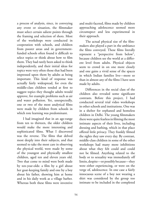a process of analysis, since, in conveying any event or situation, the filmmaker must select certain salient points through the framing and selection of shots. Most of the workshops were conducted in cooperation with schools, and children from poorer areas and in governmentfunded schools often found it difficult to select topics or think about how to film them. They had rarely been asked to think independently, and their initial ideas for topics were very often those that had been impressed upon them by adults as being important. This kind of response was actually fairly widespread, for even the middle-class children tended at first to suggest topics they thought adults would approve, for example problems such as air and water pollution. Yet, unexpectedly, one or two of the most analytical films were made by children from schools in which rote learning was predominant.

I had imagined that in an age-range from ten to thirteen, the older children would make the more interesting and sophisticated films. What I discovered was the reverse. The films that delved most deeply into their subjects, and that seemed to take the most care in observing the physical world, were made by some of the youngest and physically smallest children, aged ten and eleven years old. Two that come to mind were both made by ten-year-olds: a film by a girl about her goat-keeping family and one by a boy about his father, showing him at home and in his daily work as a village barber. Whereas both these films were inventive

and multi-faceted, films made by children approaching adolescence seemed more circumspect and less experimental in their approach.

The actual physical size of the filmmakers also played a part in the ambiance the films conveyed. These films literally represent a "perspective from below", because children see the world at a different level from adults. Physical objects seem to crowd in on one more closely and one gains a vivid sense of the spaces in which Indian families live—more so than in almost any of the films I have seen made by adults.

Differences in the social class of the children also revealed some significant contrasts. Before this project, I had conducted several trial video workshops in other schools and institutions. One was in a shelter for orphaned and homeless children in Delhi. The young filmmakers there were quite fearless in filming the most intimate aspects of their lives, including dressing and bathing, which in that place offered little privacy. They frankly filmed the sights they saw every day. By contrast, middle-class children in some of the other workshops had many more inhibitions about what they felt could and could not be filmed. Anything related to the body or to sexuality was immediately off limits, despite—or possibly because—they were either experiencing, or were on the verge of, adolescence. In one case a fairly innocuous scene of a boy not wearing a shirt was considered by the group too intimate to be included in the completed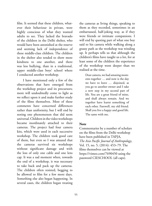film. It seemed that these children, whatever their behaviour in private, were highly conscious of what they wanted adults to see. They lacked the bravado of the children in the Delhi shelter, who would have been astonished at the reserve and seeming lack of independence of these middle-class children. The children in the shelter also tended to show more kindness to one another, and there was less bullying, than in a traditional, upper middle-class boys' school where I conducted another workshop.

I have mentioned only a few of the observations that have emerged from the workshop project and its precursors; more will undoubtedly come to light as we reflect upon it and make further study of the films themselves. Most of these comments have concerned differences rather than uniformity, but I will end by noting one phenomenon that did seem universal. Children in the video workshops became inordinately attached to their cameras. The project had four camera kits, which were used in each successive workshop. The children took good care of them, but even so I was amazed that the cameras survived six workshops without significant damage and with the loss of only one cable and one lens cap. It was a sad moment when, towards the end of a workshop, it was necessary to take back and pack up the cameras. The children often resisted, begging to be allowed to film for a few more days. Something else also began happening. In several cases, the children began treating

the cameras as living things, speaking to them as they recorded, sometimes in an embarrassed, half-joking way, as if they were friends or intimate companions. I will end by quoting part of what one boy said to his camera while walking along a grassy path as the workshop was winding up. It perhaps tells us that although the children's films have taught us a lot, for at least some of the children the experience of the workshop went deeper than we realised at the time.

> Dear camera, we had amazing moments together … and now is the day we have to leave … disjoined, as you go to another owner and I take a new step in my second part of life. You are a great friend of mine, and shall always remain. And we together have learnt something of each other. Farewell, my old friend. Shall you live a happy and good life. The same with me.

### **Note**

Commentaries by a number of scholars on the films from the Delhi workshop have been published in TAPJA, *The Asia Pacific Journal of Anthropology*, Vol. 15, no. 5, (2014): 453–79. The films themselves can be viewed at https://vimeo.com/7690450 using the password CIESCHOOL (all caps).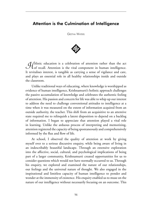## Attention is the Culmination of Intelligence

Geetha Waters



*A* folistic education is a celebration of attention rather than the act  $\mathcal{U}$  of recall. Attention is the vital component in human intelligence. It revitalises interest, is tangible as carrying a sense of vigilance and care, and plays an essential role in all healthy relationships inside and outside the classroom.

Unlike traditional ways of educating, where knowledge is worshipped as evidence of human intelligence, Krishnamurti's holistic approach challenges the passive accumulation of knowledge and celebrates the authentic feeling of attention. His passion and concern for life was able to whip up our interest to address the need to challenge conventional attitudes to intelligence at a time when it was measured on the extent of information acquired from an outside authority, the teacher. This shift from an acquisitive to an attentive state required me to relinquish a latent disposition to depend on a backlog of information. I began to appreciate that attention played a vital role in learning. Unlike the arduous process of interpreting and memorizing, attention registered the capacity of being spontaneously and comprehensively informed by the flux and flow of life.

At school, I observed the quality of attention at work by giving myself over to a serious discursive enquiry, while being aware of living in an indescribably beautiful landscape. Through an extensive exploration into the affective, social, cultural, and psychological implications of being part of a larger community, Krishnamurti created opportunities for us to consider questions which would not have normally occurred to us. Through his enquiry, we explored and examined the nature of our relationships, our feelings and the universal nature of thought. We also engaged in the inspirational and limitless capacity of human intelligence to ponder and wonder at the immensity of existence. His enquiry enabled us to muse on the nature of our intelligence without necessarily focusing on an outcome. This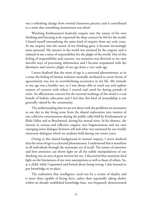was a refreshing change from normal classroom practice and it contributed to a sense that something momentous was afoot!

Watching Krishnamurti fearlessly enquire into the nature of his own thinking and listening as he expressed the deep concern he felt for the world, I found myself internalising the same kind of enquiry from my early years. As my enquiry into the nature of my thinking grew, it became increasingly more personal. My interest in the world was initiated by the enquiry and it imbued in me a sense of responsibility for the plight of the world. Out of this feeling of responsibility and concern, my attention was diverted to my own fanciful ways of processing information and I became acquainted with the dismissive and reactive plight of my ego from a very early age.

I never doubted that the sense of ego is a universal phenomenon, so in a sense the feeling of intense isolation normally attributed to severe forms of egocentricity was not an overwhelming occurrence in my life. My attitude to my ego was a healthy one, so I was always able to reach out and explore matters of concern with others I trusted and cared for during periods of crisis. An affectionate concern for the internal workings of the mind is a real benefit of holistic education and I feel that this kind of stewardship is not generally valued by the community.

The understanding that we are not alone with the problems we encounter in our day to day living arose from the shared exploration into matters of our collective consciousness during the public talks held by Krishnamurti at Rishi Valley and at Brockwood, during his annual visits. In his absence, the interest in serious and reflective enquiry into fragmentation and my own emerging inner dialogue between self and other was sustained by our weekly classroom dialogues which we students held during our senior years.

Owing to this shared background in mutual enquiry, I never doubted that the sense of ego is a universal phenomenon. I understood that it manifests in all individuals through the automatic act of recall. The nature of attention and how attention can throw light on all the subtle manipulations of our thinking was an area of great interest for me. I discovered that attention shed light on the limitations of my own assumptions as well as those of others. So, as a child, while I squirmed and fretted about being wrong, I also learned to put knowledge in its place.

The realization that intelligence need not be a victim of duality and is more than capable of facing facts, rather than repeatedly taking shelter within an already established knowledge base, was frequently demonstrated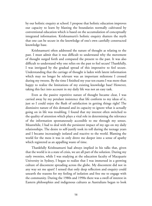by our holistic enquiry at school. I propose that holistic education improves our capacity to learn by blasting the boundaries normally cultivated by conventional education which is based on the accumulation of conceptually integrated information. Krishnamurti's holistic enquiry shatters the myth that one can be secure in the knowledge of one's own carefully constructed knowledge base.

Krishnamurti often addressed the nature of thought as relating to the past. I must admit that it was difficult to understand why the movement of thought surged forth and compared the present to the past. It was also difficult to understand why one relies on the past to feel secure! Thankfully, I was intrigued by the gradual spread of this imperative to feel secure. Understanding that the carriage of thought is laden with latent information which may no longer be relevant was an important milestone I crossed during my tweens. By the time I finished my year ten exams I was more than happy to realize the limitations of my existing knowledge base! However, taking this fact into account in my daily life was not an easy task.

Even as the passive repetitive nature of thought became clear, I was carried away by my petulant insistence that life conform to my ideas of it, just so I could enjoy the flush of satisfaction in getting things right! The dismissive nature of this demand and its capacity to ignore what is actually going on in life was troubling. I found that my interest often switched to the quality of attention which plays a vital role in determining the relevance of the information spontaneously accessible to me through my senses. Meanwhile, I had to deal with the persistent impact of my ego on my daily relationships. The desire to self-justify took its toll during the teenage years and I became increasingly isolated and reactive to the world. Blaming the world for the mess it was in only drove me deeper into a sense of apathy which registered as an appalling waste of time.

Thankfully Krishnamurti had always implied in his talks that, given that the world is in a state of crisis, we are all part of the solution. During my early twenties, while I was studying at the education faculty of Macquarie University in Sydney, I began to realize that I was immersed in a growing culture of discontent spreading across the globe. My discontent did not in any way set me apart! I sensed that only deep reflection and enquiry could unearth the reasons for my feeling of isolation and free me to engage with the community. During the 1980s and 1990s there was a swell of interest in Eastern philosophies and indigenous cultures as Australians began to look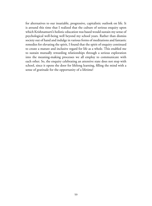for alternatives to our insatiable, progressive, capitalistic outlook on life. It is around this time that I realized that the culture of serious enquiry upon which Krishnamurti's holistic education was based would sustain my sense of psychological well-being well beyond my school years. Rather than dismiss society out of hand and indulge in various forms of meditations and fantastic remedies for elevating the spirit, I found that the spirit of enquiry continued to create a mature and inclusive regard for life as a whole. This enabled me to sustain mutually rewarding relationships through a serious exploration into the meaning-making processes we all employ to communicate with each other. So, the enquiry celebrating an attentive state does not stop with school, since it opens the door for lifelong learning, filling the mind with a sense of gratitude for the opportunity of a lifetime!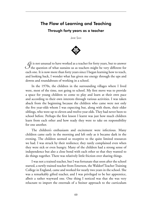# The Flow of Learning and Teaching Through forty years as a teacher

Jane Sahi



 $\mathcal{J}$ t is not unusual to have worked as a teacher for forty years, but to answer<br>the question of what sustains us as teachers might be very different for each one. It is now more than forty years since I began learning how to teach, and looking back, I wonder what has given me energy through the ups and downs and roundabouts of working in a school.

In the 1970s, the children in the surrounding villages where I lived were, most of the time, not going to school. My first move was to provide a space for young children to come to play and learn at their own pace and according to their own interests through various activities. I was taken aback from the beginning because the children who came were not only the five year-olds whom I was expecting but, along with them, their older siblings, who were up to eleven and twelve-year olds. They had never been to school before. Perhaps the first lesson I learnt was just how much children learn from each other and how ready they were to take on responsibility for one another.

The children's enthusiasm and excitement were infectious. Many children came early in the morning and left only as it became dark in the evening. The children seemed so receptive to the quite limited resources we had. I was struck by their resilience; they rarely complained even when they were sick or even hungry. Many of the children had a strong sense of independence but also a close bond with each other so that they wanted to do things together. There was relatively little friction over sharing things.

I was not a trained teacher, but I was fortunate that soon after the school started, a newly trained teacher from Emerson, the Waldorf Teacher Training College in England, came and worked for nearly two years in the school. She was a remarkably gifted teacher, and I was privileged to be her apprentice, albeit a rather wayward one. One thing I noticed was that she was very reluctant to import the externals of a Steiner approach to the curriculum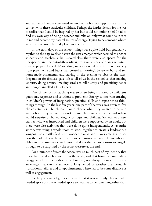and was much more concerned to find out what was appropriate in this context with these particular children. Perhaps the hardest lesson for me was to realize that I could be inspired by her but could not imitate her! I had to find my own way of being a teacher and take on only what could take root in me and become my natural source of energy. Trying to be someone whom we are not seems only to deplete our energy.

In the early days of the school, things were quite fluid but gradually a rhythm to the day, week and even the year emerged which seemed to anchor students and teachers alike. Nevertheless there were also spaces for the unexpected and the out-of-the-ordinary routine: a week of drama activities, days to prepare for a dolls' wedding, or open-ended time to make jewellery from paper, wire and beads that created a morning's bazaar to buy and sell home-made ornaments, and staying in the evening to observe the stars. Preparation for festivals gave life to all of us in the school so that making lanterns, doing dramas, making scrolls to tell a story and practicing dance and song channelled a lot of energy.

One of the joys of teaching was so often being surprised by children's questions, responses and solutions to problems. Energy comes from trusting in children's powers of imagination, practical skills and capacities to think things through. In the last few years, one part of the week was given to free choice activities. The children could choose what they wanted to do and with whom they wanted to work. Some chose to work alone and others would surprise us by working across ages and abilities. Sometimes a new craft activity was introduced and children were supported by an adult, but there were also activities that were done quite independently. A favourite activity was using a whole room to work together to create a landscape, a kingdom or a battle-field with wooden blocks and it was amazing to see how they added new elements to create a dramatic narrative. I remember an elaborate structure made with saris and desks that we took turns to wriggle through to be surprised by the secret treasure at the end.

For a number of years the school was so much part of my identity that it was hard to detach myself from the work, and that brings an ambivalent energy which can be both creative but also, not always balanced. It is not an energy that can sustain over a long period or weather the inevitable frustrations, failures and disappointments. There has to be some distance as well as engagement.

As the years went by, I also realized that it was not only children who needed space but I too needed space sometimes to be something other than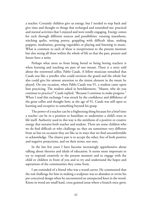a teacher. Certainly children give us energy, but I needed to step back and give time and thought to things that recharged and nourished me: practical and mental activities that I enjoyed and were totally engaging. Energy comes for each through different sources and possibilities: running marathons, stitching quilts, writing poetry, grappling with difficult ideas, making puppets, meditation, growing vegetables or playing and listening to music. What is common to each of these is receptiveness to the present moment but also seeing all these within the whole of life so that the past, present and future have a unity.

Perhaps what saves us from being bored or being boring teachers is when learning and teaching are part of one stream. There is a story told about the renowned cellist, Pablo Casals. A fellow musician remarked that Casals was like a jeweller who could envision the grand and the whole but also could give his utmost attention to the tiniest element in the music he played. On one occasion, when Pablo Casals was 91, a student came upon him practicing. The student asked in bewilderment, "Master, why do you continue to practice?" Casals replied, "Because I continue to make progress." When I read this exchange I was struck by the confidence and diffidence of the great cellist and thought how, at the age of 91, Casals was still open to learning and receptive to something beyond his grasp.

The power of a teacher can be a frightening thing because for a brief time a teacher can be in a position to humiliate or undermine a child's trust in life itself. Authority used in this way is the antithesis of a positive or creative energy that sustains both teacher and student. There are some children who we do find difficult or who challenge us; they are sometimes very different from us but on occasion they are like us in ways that we find uncomfortable to acknowledge. The elusive part is to accept the other, free of both positive and negative projections, and on their terms, not ours.

In the last few years I have become increasingly apprehensive about talking about theories and ideals of education. It seems more important to try to respond creatively to the present moment and to engage with the child or children in front of you and to try and understand the hopes and aspirations of the communities they come from.

I am reminded of a friend who was a wood-carver. He commented that the real challenge for him in making a sculpture was to abandon or revise his pre-conceived design when he encountered an unexpected knot in the wood. Knots in wood are small hard, cross grained areas where a branch once grew,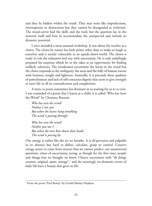and they lie hidden within the trunk. They may seem like imperfections, interruptions or distractions but they cannot be disregarded as irrelevant. The wood-carver had the skills and the tools but the question lay in the material itself and how to accommodate the unexpected and include its dynamic potential.

I once attended a most unusual workshop. It was about the teacher as a clown. The clown by nature has little power other than to make us laugh at ourselves and is mostly vulnerable in an upside-down world. The clown is ready to risk the unknown and stay with uncertainty. He is only unfailingly prepared for surprises which he or she takes as an opportunity for finding unlikely solutions. The woodcutter encounters the knots in the wood but the clown responds to the ambiguity, the mess and the folly of human nature with humour, insight and lightness. Ironically, it is precisely these qualities of powerlessness and lack of self-conscious dignity that seem to give strength to meet life in all its contradictions and complexities.

A story or poem sometimes lies dormant in us waiting for us to re-visit. I was reminded of a poem that I learnt as a child; it is called 'Who has Seen the Wind?' by Christina Rossetti.

*Who has seen the wind? Neither I nor you But when the leaves hang trembling The wind is passing through.*

*Who has seen the wind? Neither you nor I But when the trees bow down their heads The wind is passing by.*

Our energy is rather like the air we breathe. It is all-pervasive and palpable in its absence but hard to define, calculate, grasp or control. Creative energy seems to come from sources that we cannot predict: our unanswered questions, times of uncertainty, seeing, as though for the first time, people and things that we thought we knew. Chance encounters with "all things counter, original, spare, strange",<sup>1</sup> and the seemingly un-dramatic events of daily life have a beauty that gives us life.

<sup>&</sup>lt;sup>1</sup> From the poem 'Pied Beauty' by Gerald Manley Hopkins.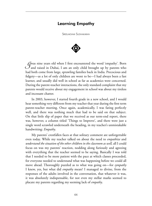## Learning Empathy

Sreelakshmi Sudhakaran



*I*was nine years old when I first encountered the word 'empathy'. Born and raised in Dubai, I am an only child brought up by parents who had both come from large, sprawling families back in India. Precocious and fidgety—as a lot of only children are wont to be—I had always been a fast learner, and usually did well in school as far as academics were concerned. During the parent-teacher interactions, the only standard complaint that my parents would receive about my engagement in school was about my tireless and incessant chatter.

In 2003, however, I started fourth grade in a new school, and I would hear something very different from my teacher that year during the first term parent-teacher meeting. Once again, academically, I was faring perfectly well, and there was nothing much that had to be said on that subject. On that little slip of paper that we received as our term-end report, there was, however, a column titled 'Things to Improve', and there were just a single word scrawled underneath the heading, in my teacher's unmistakable handwriting: *Empathy*.

My parents' crestfallen faces at that solitary comment are unforgettable even today. While my teacher talked on about the need to *empathize* and *understand the situation of the other children in the classroom as well,* all I could focus on was my parents' reaction, nodding along furiously and agreeing with everything that the teacher seemed to be saying. Basically I was told that I needed to be more patient with the pace at which classes proceeded, for everyone needed to understand what was happening before we could all move ahead. Thoroughly puzzled as to what was going on—for *sympathy* I knew, yes, but what did *empathy* mean? I managed to divine, from the responses of the adults involved in the conversation, that whatever it was, it was absolutely indispensable, for not even my stellar marks seemed to placate my parents regarding my seeming lack of *empathy*.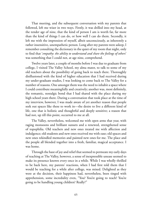That meeting, and the subsequent conversation with my parents that followed, left me wiser in two ways. Firstly, it was drilled into my head, at the tender age of nine, that the kind of person I am is worth far, far more than the kind of things I can do, or how well I can do them. Secondly, it left me with the impression of myself, albeit unconsciously, as inherently a rather insensitive, unempathetic person. Long after my parents were asleep, I remember consulting the dictionary in the quiet of my room that night, only to find that '*empathy*: *the ability to understand and share the feelings of others*' was something that I could not, at age nine, comprehend.

Twelve years later, a couple of months before I was due to graduate from college, I visited The Valley School, my alma mater, to talk to some of my old teachers about the possibility of going back to teach there. Thoroughly disillusioned with the kind of higher education that I had received during my under-graduate studies, I was looking to come back to The Valley for a number of reasons. One amongst them was the need to inhabit a space where I could contribute meaningfully and creatively; another was, most definitely, the romantic, nostalgic bond that I had shared with the place during my high school years there. During a conversation that took place at the time of my interview, however, I was made aware of yet another reason that people seek out spaces like these to work in—the desire to live a different kind of life, one that is holistic and thoughtful and deeply sensitive; a reason that had not, up till this point, occurred to me at all.

The Valley, nevertheless, welcomed me with open arms that year, with raging monsoons and brilliant sunsets and a renewed, strengthened sense of topophilia. Old teachers and new ones treated me with affection and indulgence; old students and new ones received me with ease; old spaces and new ones rekindled memories and painted new ones for me. The place and the people all blended together into a fresh, familiar, magical acceptance. I was home.

Through the haze of joy and relief that seemed to permeate my early days of teaching at The Valley, however, a sense of inexpressible unease seemed to make its presence known every once in a while. While I was wholly thrilled to be back here, my parents' reactions, when I had first told them that I would be teaching for a while after college, was mixed. Delighted as they were at the decision, their happiness had, nevertheless, been tinged with apprehension, some incredulity even, "You? You're going to teach? You're going to be handling young children? Really?"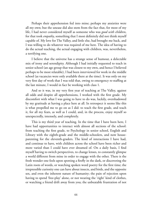Perhaps their apprehension fed into mine; perhaps my anxieties were all my own; but the unease did also stem from the fact that, for most of my life, I had never considered myself as someone who was *good with children*, for that took *empathy*, something that I most definitely did not think myself capable of. My love for The Valley, and little else, had brought me back, and I was willing to do whatever was required of me here. The idea of having to do the actual teaching, the actual engaging with children, was, nevertheless, a terrifying one.

I believe that the universe has a strange sense of humour, a delectable mix of irony and serendipity. Although I had initially requested to teach in senior school (an age group that was closest to my own, and hence I believed perhaps to be most relatable), I had been interviewed for work in the middle school (as vacancies were only available there at the time). It was only on my very first day of work that I was told that, owing to emergency re-staffing at the last minute, I would in fact be working with class 1.

And so it was, in my very first year of teaching at The Valley, against all odds and despite all apprehensions, I worked with the first grade. My discomfort with what I was going to have to do was, luckily, overshadowed by my gratitude at having a place here at all. In retrospect it seems like this is what propelled me to go on as I did: to teach the first grade, and teach it, for all my fears, as well as I could, and, in the process, enjoy myself so unexpectedly, intensely, and completely.

This is my third year of teaching. In the time that I have been here, I have had opportunities to interact with almost all sections of the school: from teaching the first grade, to Psychology in senior school, English and Library with the eighth-grade and the middle-schoolers, and now houseparenting for the eleventh-graders. The kind of interactions I have had, and continue to have, with children across the school have been richer and more varied than I could have ever dreamed of. On a daily basis, I find myself having to switch perspectives, to change lenses, to constantly glimpse a world different from mine in order to engage with the other. There is the fresh wonder one feels upon spotting a firefly in the dark, or discovering the Latin roots of words, or watching spoken word poetry for the first time; the irrepressible curiosity one can have about insects, and birds, and the opposite sex, and even the inherent nature of humanity; the pain of rejection upon having to spend 'free-play' alone, or not wearing the 'right' kind of clothes, or watching a friend drift away from you; the unbeatable frustration of not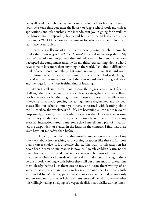being allowed to climb trees when it's time to do math, or having to take off your socks each time you enter the library, or juggle school work and college applications and relationships; the incandescent joy in going for a walk to the banyan tree, or spending hours and hours on the basketball court, or receiving a 'Well Done!' on an assignment for which sweat and blood and tears have been spilled.

Recently, a colleague of mine made a passing comment about how she thinks that I am *so good with the children!* It caused me to stop short. My teacher's remarks and my parents' discomfited faces still fresh in my memory, I accepted the compliment uneasily. In my third year running, doing what I have come to love more than anything in the world, I still find it difficult to think of what I do as something that comes naturally to me. It is hard work, this relating. When later that day I mulled over what she had said, though, I could not help admitting to myself that this is hard work, and good work, and the stage for the most fruitful kind of learning.

When I walk into a classroom today, the biggest challenge I face—a challenge that I see so many of my colleagues struggling with as well—is not homework, or handwriting, or even motivation towards excellence—it is *empathy*. In a world growing increasingly more fragmented and divided, spaces like our schools, amongst others, concerned with learning about the "…totality, the wholeness of life", are becoming all the more relevant. Surprisingly, though, this particular frustration that I face—of increasing insensitivity in the world today, which naturally translates into so many everyday interactions around me, some that I myself am a part of—has not left me despondent or cynical in the least; on the contrary, I find that these years have left me softer than before.

I think back, quite often, to that initial conversation at the time of my interview, about how teaching and working in spaces like these is far more than a career choice. It is a lifestyle choice. The truth in this assertion has never been clearer to me than it is now, as I watch children learn, not as much from what is said and done in the classroom, but instead from the lives that their teachers lead outside of these walls. I find myself pausing to think before I speak, catching words before they spill out of my mouth, to examine them closely, before I let them escape me, and deem them worthy of an audience as absorbent and ready to learn as the one that I am constantly surrounded by. My tastes, preferences, choices are influenced, consciously and unconsciously, by what I think my students will benefit from—whether it is willingly taking a helping of a vegetable dish that I dislike during lunch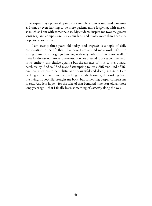time, expressing a political opinion as carefully and in as unbiased a manner as I can, or even learning to be more patient, more forgiving, with myself, as much as I am with someone else. My students inspire me towards greater sensitivity and compassion, just as much as, and maybe more than I can ever hope to do so for them.

I am twenty-three years old today, and *empathy* is a topic of daily conversation in the life that I live now. I see around me a world rife with strong opinions and rigid judgments, with very little space in between all of these for diverse narratives to co-exist. I do not pretend to as yet comprehend, in its entirety, this elusive quality; but the absence of it is, to me, a hard, harsh reality. And so I find myself attempting to live a different kind of life, one that attempts to be holistic and thoughtful and deeply sensitive. I am no longer able to separate the teaching from the learning, the working from the living. Topophilia brought me back, but something deeper compels me to stay. And let's hope—for the sake of that bemused nine-year-old all those long years ago—that I finally learn something of *empathy* along the way.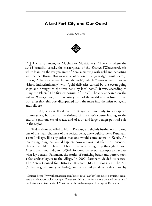## A Lost Port-City and Our Quest

Akhila Seshadri



*M*uchiripattanam, or Muchiri or Muziris was, "The city where the beautiful vessels, the masterpieces of the *Yavanas* [Westerners], stir white foam on the Periyar, river of Kerala, arriving with gold and departing with pepper"(from *Akananooru*, a collection of Sangam Age Tamil poems). It was, "The city where liquor abounds", which "bestows wealth to its visitors indiscriminately" with "gold deliveries carried by the ocean-going ships and brought to the river bank by local boats". It was, according to Pliny the Elder, "The first emporium of India". The city appeared on the *Tabula Peutingeriana*, a fifth-century map of the world as seen from Rome. But, after that, this port disappeared from the maps into the mists of legend and folklore $<sup>1</sup>$ </sup>

In 1341, a great flood on the Periyar led not only to widespread submergence, but also to the shifting of the river's course leading to the end of a glorious era of trade, and of a by-and-large benign political rule in the region.

Today, if one travelled to North Paravur, and slightly further north, along one of the many channels of the Periyar delta, one would come to Pattanam, a small village, like any other that one would come across in Kerala. An interesting thing that would happen, however, was that after the monsoons, children would find beautiful beads that were brought up through the soil. After a preliminary dig in 2003–4, followed by several attempts to discover what lay beneath Pattanam, the stories of surfacing beads and pottery took a few archaeologists to the village. In 2007, Pattanam yielded its secrets. The Kerala Council for Historical Research (KCHR) along with the ASI (Archaeological Survey of India), and other independent bodies have by

<sup>&</sup>lt;sup>1</sup> Source: https://www.theguardian.com/cities/2016/aug/10/lost-cities-3-muziris-indiakerala-ancient-port-black-pepper. Please see this article for a more detailed account of the historical antecedents of Muziris and the archaeological findings at Pattanam.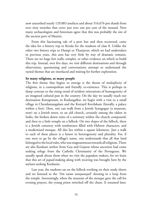now unearthed nearly 129,083 artefacts and about 516,676 pot shards from over sixty trenches that cover just over one per cent of the mound. Now many archaeologists and historians agree that this was probably the site of the ancient port of Muziris.

From this fascinating tale of a port lost and then recovered, came the idea for a history trip to Kerala for the students of class 8. Unlike the other two history trips to Hampi or Thanjavur, which we had undertaken in previous years, this area has very little by way of dramatic remains. There are no huge fort walls, temples, or other evidence on which to build this trip. Instead, over five days, we visit different destinations and through observation, questioning and conversations attempt to understand the varied themes that are interlaced and waiting for further exploration.

#### **So many religions, so many people**

The first theme that begins to emerge is the theme of multiplicity of religions, in a cosmopolitan and friendly co-existence. This is perhaps in sharp contrast to the rising trend of strident reiterations of homogeneity of an imagined cultural past in the country. On the day we usually reach our destination Kottapuram, in Kodungallur, we begin with a visit to a small village in Chendamangalam and the Kottayil Kovilakam (literally, a palace within a fort). Here, one can walk from a Jewish Synagogue (a museum, now) on a Jewish street, to an old church, certainly among the oldest in India, the broken down ruins of a seminary within the church compound, and then to a little temple on a hillock. On two slopes of the hillock, there is a Jewish cemetery with tombstones filled with Hebrew characters, and a modernised mosque. All this lies within a square kilometre. Just a walk to each of these places is a lesson in heterogeneity and plurality. For, if one were to go by the village's name, one understands that all that land belonged to the local ruler, who was magnanimous towards all religions. There are also Konkani settlers from Goa and Gujarat whose ancestors had come seeking refuge from the Catholic Christianity of the Portuguese. We usually speak about them when we visit the *papadam* makers, for we learn that this art of *papad*-making along with weaving was brought here by the asylum-seeking Konkanis.

Last year, the students sat on the hillock working on their study sheets and we listened to the '*Om namo narayanayah*' droning in a loop from the temple. Interestingly, when the muezzin of the mosque gave the call for evening prayers, the young priest switched off the chant. It resumed later.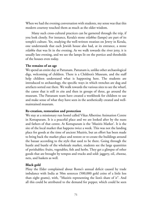When we had the evening conversation with students, my sense was that this modern courtesy touched them as much as the older wisdom.

Many such cross-cultural practices can be garnered through the trip, if you look closely. For instance, Kerala's stone *vilakkus* (lamps) are part of its temple's culture. Yet, studying the well-written treatises on Jewry in Kerala, one understands that each Jewish house also had, at its entrance, a stone *vilakku* that was lit in the evening. As we walk towards the river jetty, it is usually late evening, and we see the lamps lit on the portico and thresholds of the houses even today.

#### **The remains of an age**

We spend an entire day at Pattanam. Pattanam is, unlike other archaeological digs, welcoming of children. There is a Children's Museum, and the staff help children understand what is happening here. The students are introduced to archaeology, the specific ways in which trenches are dug and artefacts sorted out there. We walk towards the various sites to see the wharf, the canoe that is still *in situ* and then in groups of three, go around the museum. The Pattanam team have created a workbook for children to use and make sense of what they have seen in the aesthetically created and wellmaintained museum.

#### **Re-creation, restoration and protection**

We stay at a missionary run hostel called Vikas Albertine Animation Centre in Kottapuram. It is a peaceful place and we are looked after by the nuns and fathers of that centre. At Kottapuram is the 'Muziris Market'. It is the site of the local market that happens twice a week. This was not the landing place for goods at the time of ancient Muziris, but an effort has been made to bring back the market place and restore or re-create the buildings around the bazaar according to the style that used to be there. Going through the hustle and bustle of the wholesale market, students see the large quantities of perishables: fruits, vegetables, fish and herbs. They get a glimpse of other goods that are brought by tempos and trucks and sold: jaggery, oil, *chunna*, nets, and baskets as well.

#### **Black gold**

Pliny the Elder complained about Rome's annual deficit caused by trade imbalance with India at 50m sesterces (500,000 gold coins of a little less than eight grams), with, "Muziris representing the lion's share of it". And all this could be attributed to the demand for pepper, which could be seen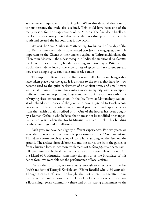as the ancient equivalent of 'black gold'. When this demand died due to various reasons, the trade also declined. This could have been one of the many reasons for the disappearance of the Muziris. The final death knell was the fourteenth century flood that made the port disappear, the river shift south and created the harbour that is now Kochi.

We visit the Spice Market in Mattanchery, Kochi, on the final day of the trip. By this time the students have visited two Jewish synagogues; a temple important to the Cheras at their ancient capital at Thiruvanchikulam, the Cheramun Mosque—the oldest mosque in India; the traditional *naalukettu*, the Dutch Palace museum, besides spending an entire day at Pattanam. In Kochi, the students look at the wide variety of spices, and try to understand how even a single spice can make and break a trade.

The trip from Kottapuram to Kochi is in itself a lesson in changes that have taken place over the ages. It is a shock to the senses that have by now become used to the quiet backwaters of an ancient river, and small towns with small houses, to arrive back into a modern-day city with skyscrapers, traffic of immense proportions, huge container trucks, a vast port with ships of varying sizes, cranes and so on. In the Jew Town at Mattanchery we look at old abandoned houses of the Jews who have migrated to Israel, whose doorways still have the *Mezuzah*, a framed parchment with specific verses from the Jewish Torah inscribed on it. One of the houses has been bought by a Roman Catholic who believes that it must not be modified or changed. Every two years, when the Kochi-Muziris Biennale is held, this building exhibits paintings and installations.

Each year, we have had slightly different experiences. For two years, we were able to look at another syncretic performing art, the *Chavittunatakam*. This dance form involves a lot of complex stamping of the feet on the ground. The artistes dress elaborately, and the stories are from the gospel or from Christian lore. It incorporates elements of *Kalarippayattu*, opera, Tamil folklore music and biblical themes to create a distinctive style of its own. On the island of Gothuruthu, sometimes thought of as the birthplace of this dance form, we were able see the performance of local artistes.

On another occasion, we were lucky enough to interact with the last Jewish resident of Kottayil Kovilakkam, Eliahu Bezallel who is 84 years old. Though a citizen of Israel, he bought the plot where his ancestral home had been and built a house there. He spoke of the times when there was a flourishing Jewish community there and of his strong attachment to the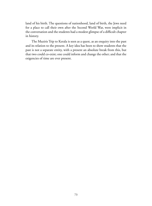land of his birth. The questions of nationhood, land of birth, the Jews need for a place to call their own after the Second World War, were implicit in the conversation and the students had a modest glimpse of a difficult chapter in history.

The Muziris Trip to Kerala is seen as a quest, as an enquiry into the past and its relation to the present. A key idea has been to show students that the past is not a separate entity, with a present an absolute break from this, but that two could co-exist; one could inform and change the other; and that the exigencies of time are ever present.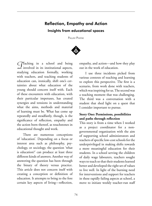## Reflection, Empathy and Action Insights from educational spaces

PALLAVI PHATAK



*T*eaching in a school and being involved in its institutional aspects, studying education formally, working with teachers, and teaching students of education can, ironically, shift one's certainties about what education of the young should concern itself with. Each of these encounters with education, with their particular impetuses, has created synergies and tensions in understanding what the aims, methods and material of learning must be. What has come up repeatedly and steadfastly, though, is the significance of reflection, empathy and the action born thereof, as touchstones in educational thought and work.

There are numerous conceptions of 'education'. Depending on a focus or interest area such as philosophy, psychology, or sociology, the question 'what is education?' can produce at least three different kinds of answers. Another way of answering the question has been through the binary of theory versus practice. This article does not concern itself with creating a conception or definition of education. It attempts to bring to the fore certain key aspects of living—reflection,

empathy, and action—and how they play out in the work of education.

I use three incidents picked from various contexts of teaching and learning to explore this perspective. The first is a scenario, from work done with teachers, which was inspiring for us. The second was a teaching moment that was challenging. The third was a conversation with a student that shed light on a quest that I consider important to pursue.

## **Story One: Permissions, possibilities and paths through reflection**

This story is from a time when I worked as a project coordinator for a nongovernmental organization with the aim of supporting school administrators and teachers of specific low-cost schools for the underprivileged in making shifts towards a more meaningful education for their students. In a school serving the children of daily wage labourers, teachers sought ways to teach so that their students learned better and developed the right set of values to live well. In light of the burning need for interventions and support for teachers in these rapidly failing aspects at school, a move to initiate weekly teacher-run staff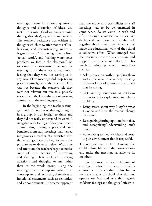meetings, meant for sharing questions, thoughts and discussion of ideas, was met with a mix of awkwardness (around sharing thoughts), cynicism and inertia. The teachers' resistance was evident in thoughts which they, after months of 'icebreaking' and deconstructing authority, began to share: "It is taking us away from 'actual' work", and "talking won't solve problems we face in the classroom". So we came to a consensus to try out the meetings until there was a unanimous feeling that they were not serving us in any way. (The meetings did stop taking place eventually, after about a year. This was not because the teachers felt they were not relevant but due to a possible insecurity in the leadership about growing autonomy in the teaching group).

In the beginning, the teachers struggled with the notion of sharing thoughts in a group. It was foreign to them and they did not really understand its worth. I struggled with feelings of disappointment around this, having experienced and benefited from staff meetings that helped me grow as a teacher. We persisted with the meetings, nevertheless, to keep the promise we made to ourselves. With time and attention, the teachers began to notice some of their patterns of expressing and sharing. These included directing questions and thoughts to me rather than to the whole group, using the meeting time to complain rather than contemplate, and restricting themselves to functional statements such as reminders and announcements. It became apparent

that the scope and possibilities of staff meetings had to be demonstrated in some sense. So we came up with and sifted through conversation topics. We deliberated on how we might talk together about these topics in ways that made the educational work of the school a collective effort. What emerged was the necessary structure to encourage and support the process of reflection. This involved adopting certain guidelines such as:

- Asking questions without judging them and at the same time actively noticing different kinds of questions that others may be asking.
- Not viewing questions as criticism but as tools for exploration and clarity building.
- • Being aware about why I say/do what I say/do and how the reasons change over time.
- • Recognizing*/*sorting opinion from fact, and recognizing/understanding one's biases.
- • Appreciating each other's ideas and creating an environment that is respectful.

The next step was to find elements that could infuse life into the conversations and make the meetings valuable to its members.

For instance, we were thinking of creating a school that was a friendly environment for children. This fundamentally meant a school that did not operate on fear and one that regards children's feelings and thoughts. Infrastruc-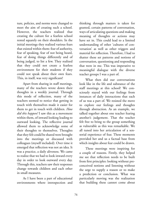ture, policies, and norms were changed to meet the aim of creating such a school. However, the teachers realized that creating the culture for a fearless school rested squarely on their shoulders. In the initial meetings they realized various fears that existed within them: fear of authority, fear of speaking, fear of not being heard, fear of doing things differently and of being judged, to list a few. They realized that they could not create a fearless environment for their students if they could not speak about their own fears. This, in itself, was very significant!

Apart from sharing in staff meetings, many of the teachers wrote down their thoughts in a weekly journal. Through this mode of reflection, many of the teachers seemed to notice that getting in touch with themselves made it easier for them to get in touch with children. *How did this happen?* I saw this as a movement within them, of inward looking leading to outward looking. The reflective journal allowed them to acknowledge some of their thoughts to themselves. Thoughts that they felt could be shared were brought into the meetings or discussed with colleagues (myself included). Over time it emerged that reflection was not an idea. It was a practice, a daily aliveness. We came to realize that we had to look inward every day in order to look outward every day. Through this, teachers saw their responses change towards children and each other in small measures.

As I have been a part of educational environments where introspection and

thinking through matters is taken for granted, certain patterns of conversation, ways of articulating questions and making meaning of thoughts or actions may have set in. This could lead to a limited understanding of other 'cultures of conversation' as well as other triggers and material for reflection. Therefore, I had to shatter these set patterns and notions of conversation, questioning and responding that were in me. This was imperative to meaningful dialogue with the diverse teacher groups I was a part of.

What then did our conversations look like in the life and substance of the staff meetings at this school? We consciously stayed with our feelings from instances of daily interactions that each of us was a part of. We resisted the move to explore our feelings and thoughts through abstraction. As an example, we talked together about one teacher fearing another's judgement. That the teacher felt free to bring to the group something as vulnerable as this was remarkable. We all tuned into her articulation of a sensorial experience of fear. These moments provided her and us a factual base from which insights about fear could be drawn.

These meetings were inspiring for a couple of reasons. Firstly, they helped me see that reflection needs to be built from first principles: looking without preconceived notions and listening without the urge to supply a reason or to make a prediction or conclusion. What was particularly moving was the realization that building these cannot come about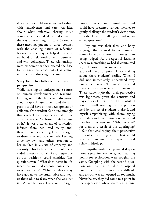if we do not hold ourselves and others with tentativeness and care. An idea about what reflective sharing must comprise and sound like could come in the way of extending this care. Secondly, these meetings put me in direct contact with the enabling nature of reflection because of the way it helped many of us build a relationship with ourselves and with colleagues. These relationships were empowering; they created the base for strength that arises out of an active, informed and thinking collective.

## **Story Two: The challenge of shifting perspective**

While teaching an undergraduate course on human development and teachinglearning, one of the classes was a discussion about corporal punishment and the impact it could have on the development of children. One student felt quite strongly that a whack to discipline a child is fine as many people, "do better in life because of it." It was a statement of conviction inferred from her lived reality and, therefore, not something I had the right to dismiss in any way. Actively keeping aside my own and others' reaction to her resulted in a state of empathy and curiosity. This took on the form of openended questions that all of us, irrespective of our positions, could consider. The questions were: "What does 'better in life' mean that we need corporal punishment to get us there?" "While a whack may have got us to the study table and kept us there (due to fear), what else was lost in us?" While I was clear about the right

position on corporal punishment and could have presented various theories to gently challenge the student's view point, why did I end up talking around openended questions?

My cue was their faces and body language that seemed to communicate some of the discomfort that comes from being judged. As a respectful learning space was something we had all committed to, it followed quite naturally that I be aware of the assumptions I was making about these students' reality. When I did not immediately understand why punishment was a 'life saver', I realized I needed to explore it with them more. These students *felt* that their perspective was legitimate, given the contexts and trajectories of their lives. Thus, while I found myself reacting to the position held by this set of students, I also found myself empathizing with them, trying to understand their situation. Why did they hold this viewpoint? What 'worked' for them as a result of this upbringing? I felt that challenging their perspective without empathizing with it first would have been an insensitive response based solely in ideology.

Empathy made the open-ended questions *equal* for everyone; our starting points for exploration were roughly the same. Grappling with the second question, on what was lost due to corporal punishment, was emotionally difficult and as such was not opened up too much. Nevertheless, they did come to a point in the exploration where there was a faint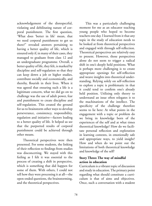acknowledgement of the disrespectful, violating and debilitating nature of corporal punishment. The first question, 'What does 'better in life' mean, that we need corporal punishment to get us there?" revealed answers pertaining to having a better quality of life, which is ensured only if, in many of their cases, they managed to graduate from class 12 and an undergraduate programme. Overall, a better quality of life, they felt, is marked by discipline and self-regulation so that they can keep down a job or higher studies, contribute socially and economically, and thereby, flourish in their lives. When it was agreed that ensuring such a life is a legitimate concern, what we did go on to challenge was the use of adult power, fear and punishment to create discipline and self-regulation. This created the ground for us to brainstorm other ways to develop perseverance, consistency, responsibility, regulation and initiative—factors leading to a better quality of life. It helped us see that the purported results of corporal punishment could be achieved through other means.

Theoretical perspectives were then presented. For some students, the linking of their reflection to findings from studies was disconcerting. We stayed with this feeling as I felt it was essential to the process of creating a shift in perspective, which is something that did happen for some of them. With others, I could not tell how they were processing it at all—the open-ended questions, the brainstorming, and the theoretical perspectives.

This was a particularly challenging moment for me as an educator teaching young people who hoped to become teachers one day. I learned from it that any topic in the study of education needs to be looked at from theoretical perspectives and engaged with through self-reflection. Theoretical perspectives are relatively easy to present. However, those perspectives alone do not seem to trigger a radical shift in one's deeply held positions. What is perhaps more challenging is to create appropriate openings for self-reflection and weave insights into theoretical understanding. Relying solely on self-reflection to explore a topic is problematic in that it could tend to confirm one's already held position. Utilizing only theory to understand an issue often relegates it to the machinations of the intellect. The specificity of the challenge therefore seems to lie here: At what points in the engagement with a topic or problem do we bring in knowledge born of the experiences of the self and at what times theoretical knowledge? How do we facilitate personal reflection and exploration in learning contexts, in emotionally safe and appropriate ways, to yield insight? How and when do we point out the limitations of both theoretical knowledge and knowledge of the self?

## **Story Three: The way of mindful action in education**

Curriculum is a vibrant topic of discussion and study in education. The primary point regarding what should constitute a curriculum is that of aims and objectives. Once, such a conversation with a student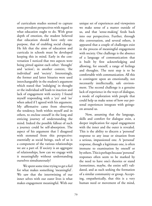of curriculum studies seemed to capture some prevalent perspectives with regard to what education ought to do. With great depth of emotion, the student believed that education should have only one purpose, that of enabling social change. He felt that the aims of education and curricula in schools must be developed keeping this in mind. Early in the conversation I noticed that two aspects were being pitted against each other: 'thought' and 'action'; in another context, 'the individual' and 'society'. Interestingly, the former and latter binaries were used interchangeably in the student's argument which stated that 'indulging' in thought or the individual self leads to inaction and lack of engagement with society. I found myself responding with a 'yes' and 'no' when asked if I agreed with his argument. My affirmative came from observing the tendency, both within myself and in others, to enclose oneself in the long and enticing journey of understanding the mind. Indeed the possible fallout of such a journey could be self-absorption. The aspect of his argument that I disagreed with stemmed from this perspective: essentially as social beings, each of us is a component of the various relationships we are a part of. If society is an aggregate of relationships, how can we engage with it meaningfully without understanding ourselves simultaneously?

We spent some time trying to get a feel for what makes something 'meaningful'. We saw that the intertwining of our inner selves with our outer lives is what makes engagement meaningful. With our

unique set of experiences and viewpoints we make sense of a matter outside of us, and that 'sense-making' feeds back into our perspectives. Further, through this conversation, and several others, it appeared that a couple of challenges exist in the process of meaningful engagement with society. One challenge is the absence of a language of communication that is built by first acknowledging and allowing, for oneself, a range of feelings and thoughts. The next step is to be comfortable with communication. All this is contingent upon an emotionally, not necessarily intellectually, safe environment. The second challenge is a genuine lack of experience in the ways of dialogue, a mode of exploration with people that could help us make sense of how our personal experiences integrate with goingson around us.

Now, assuming that the language, skills and comfort for dialogue exist, a deeper implication for equal engagement with the inner and the outer is revealed. This is the ability to discern a 'personal' response to any issue or situation from a serious, impassioned one. A 'personal' response, though a legitimate one, is often immune to examination by oneself or by others. This is perhaps because 'personal' responses often seem to be marked by the need to have one's theories or stand (sometimes, maybe, the entire self) validated, and as such seeking the formation of a similar community or group. Accepting, empathetically, that this is a very human need or movement of the mind,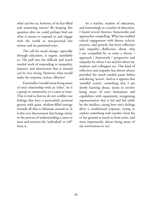what can free us, however, of its fear-filled and narrowing nature? By keeping this question alive we could perhaps find out what it means to respond to and engage with the world in non-personal but serious and im passioned ways.

The call for social change, especially through education, is urgent, justifiably so. The pull into the difficult and much needed work of responding to inequality, injustice and destruction that is around can be very strong. However, what would make the response, action, effective?

Essentially it would mean being aware of one's relationship with an 'other', be it a group or community or a cause or issue. This is vital so that we do not conflate our feelings that have a particularly personal genesis with quiet, wisdom-filled outrage towards all that is inhuman around us. It is this very discernment that brings clarity to the process of understanding a cause or issue and removes the 'individual' or 'self' from it.

As a teacher, student of education, and interestingly as a teacher of education, I found several theories, frameworks and approaches compelling. What has enabled critical engagement with theory, eclectic practice, and growth, has been reflection and empathy—Reflection about why I am compelled by or resist a theory / approach / framework / perspective and empathy for where I am and for where my students and colleagues are. This kind of reflection and empathy has almost always provided the much needed pause before and during 'action'. And so it appears that 'mindful action', something that I am slowly learning about, seems to involve being aware of one's limitations and capabilities with equanimity, recognizing argumentation that is led and fed solely by the intellect, seeing how one's feelings drive a conditioned response, trying to explore something with another from his or her ground as much as from mine, and most importantly, always being aware of my motivations to 'act'.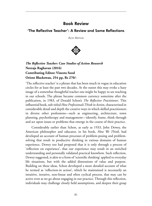## Book Review

## 'The Reflective Teacher': A Review and Some Reflections

Alok Mathur



*The Reflective Teacher: Case Studies of Action Research* **Neeraja Raghavan (2016) Contributing Editor: Vineeta Sood Orient Blackswan, 254 pp, Rs 270/-**

'The reflective teacher' is a phrase that has been much in vogue in education circles for at least the past two decades. At the outset this may evoke a hazy image of a somewhat thoughtful teacher one might be happy to see teaching in our schools. The phrase became common currency sometime after the publication, in 1983, of Donald Schon's *The Reflective Practitioner*. This influential book, sub-titled *How Professionals Think in Action,* characterized in considerable detail and depth the creative ways in which skilled practitioners in diverse other professions—such as engineering, architecture, town planning, psychotherapy and management—identify, frame, think through and act upon issues or problems that emerge in the course of their practice.

Considerably earlier than Schon, as early as 1933, John Dewey, the American philosopher and educator, in his book, *How We Think*, had developed an account of human processes of problem-posing and problemsolving that result in productive thinking in various domains of human experience. Dewey too had proposed that it is only through a process of 'reflection on experience', that our experience may result in an enriched understanding and personally validated practical knowhow. Such reflection, Dewey suggested, is akin to a form of 'scientific thinking' applied to everyday life situations, but with the added dimensions of value and purpose. Building on these ideas, Schon developed a more detailed account of what he termed as 'reflection-in action', which he maintained is necessarily an intuitive, iterative, non-linear and often cyclical process, that may can be active even as we go about engaging in our practice. Through this reflection, individuals may challenge closely held assumptions, and deepen their grasp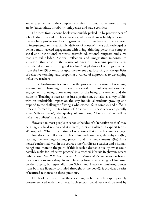and engagement with the complexity of life situations, characterized as they are by 'uncertainty, instability, uniqueness and value conflicts'.

The ideas from Schon's book were quickly picked up by practitioners of school education and teacher educators, who saw them as highly relevant to the teaching profession. Teaching—which has often been narrowly viewed in instrumental terms as simply 'delivery of content'—was acknowledged as being a multi-layered engagement with living, thinking persons in complex social and institutional contexts, towards educational purposes and aims that are value-laden. Critical reflection and imaginative responses to situations that arise in the course of one's own teaching practice were considered as essential for 'good teaching'. A plethora of writings emerged from the late 1980s onwards upto the present day, focussing on the qualities of reflective teaching, and proposing a variety of approaches to developing 'reflective teachers'.

In the Krishnamurti schools too the process of education, of teaching, learning and upbringing, is necessarily viewed as a multi-layered extended engagement, drawing upon many levels of the being of a teacher and the students. Teaching is seen as not just a profession, but also as a way of life, with an undeniable impact on the way individual students grow up and respond to the challenges of living a wholesome life in complex and difficult times. Informed by the teachings of Krishnamurti, these schools especially value 'self-awareness', 'the quality of attention', 'observation' as well as 'reflective abilities' in a teacher.

However, to most people in schools the idea of a 'reflective teacher' may be a vaguely held notion and it is hardly ever articulated in explicit terms. We may ask: What is the nature of reflections that a teacher might engage in? How does the reflective teacher relate with students, the subjects s(he) teaches, the teaching-learning process, and the predicaments s(he) finds herself confronted with in the course of her/his life as a teacher and a human being? And more to the point, if this is such a desirable quality, what could possibly make for 'reflective practice' in a teacher? Neeraja Raghavan's recent publication, *The Reflective Teacher: Case Studies of Action Research* brings these questions into sharp focus. Drawing from a wide range of literature on the subject, but especially from Schon and Dewey (stimulating quotes from both are liberally sprinkled throughout the book!), it provides a series of textured responses to these questions.

The book is divided into three sections, each of which is appropriately cross-referenced with the others. Each section could very well be read by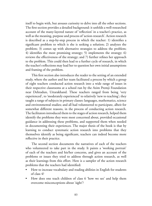itself to begin with, but arouses curiosity to delve into all the other sections. The first section provides a detailed background: it unfolds a well-researched account of the many-layered nature of 'reflection' in a teacher's practice, as well as the meaning, purpose and process of 'action-research'. Action research is described as a step-by-step process in which the teacher: 1) identifies a significant problem to which is she is seeking a solution; 2) analyzes the problem; 3) comes up with alternative strategies to address the problem; 4) identifies the most promising strategy; 5) implements the strategy; 6) reviews the effectiveness of the strategy; and 7) further refines her approach to the problem. This could then lead to a further cycle of research, in which the teacher's reflections may lead her to question her own initial assumptions and framing of the problem.

This first section also introduces the reader to the setting of an extended study, where the author and her team facilitated a process by which a group of eight teachers conducted action research into a wide range of issues in their respective classrooms at a school run by the Azim Premji Foundation near Dehradun, Uttarakhand. These teachers ranged from being 'very experienced', to 'moderately experienced' to relatively 'new to teaching'; they taught a range of subjects in primary classes: languages, mathematics, science and environmental studies; and all had volunteered to participate, albeit for somewhat different reasons, in the process of conducting action research. The facilitators introduced them to the stages of action research, helped them identify the problems they were most concerned about, provided occasional guidance in addressing these problems, and supported them when needed in documenting their experiences. The major thesis of the book is that by learning to conduct systematic action research into problems that they themselves identify as being significant, teachers can indeed become more reflective in their practice.

The second section documents the narratives of each of the teachers who volunteered to take part in the study. It paints a 'working portrait' of each of the teachers and his/her concerns, and gives an account of the problems or issues they tried to address through action research, as well as their learnings from this effort. Here is a sampler of the action research problems that the teachers had identified:

- How to increase vocabulary and reading abilities in English for students of class 4?
- How does one teach children of class 6 'how we see' and help them overcome misconceptions about 'sight'?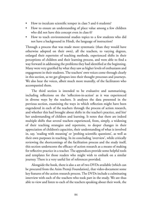- How to inculcate scientific temper in class 5 and 6 students?
- How to ensure an understanding of place value among a few children who did not have this concept even in class 6?
- How to teach environmental studies topics to a few students who did not have a background in Hindi, the language of instruction?

Through a process that was made more systematic (than they would have otherwise adopted on their own), all the teachers, to varying degrees, enlarged their repertoire of teaching methods, experienced shifts in their perceptions of children and their learning process, and were able to find a way forward in addressing the problems they had identified at the beginning. Many were very gratified by what they saw as higher levels of enthusiasm and engagement in their students. The teachers' own voices come through clearly in this section, as we get glimpses into their thought processes and journeys. We also hear the voices, albeit much more mutedly, of the facilitators who accompanied them.

The third section is intended to be evaluative and summarizing, including reflections on the 'reflection-in-action' as it was experienced in diverse ways by the teachers. It analyses the data presented in the previous section, examining the ways in which reflection might have been engendered in each of the teachers through the process of action research, and whether this had brought about shifts in the teacher's practice, and his/ her understanding of children and learning. It notes that there are indeed multiple shifts that several teachers experienced, from, simply, a widening of their teaching strategies and repertoire, to deeper changes in their appreciation of children's capacities, their understanding of what is involved in, say, 'reading with meaning' or 'probing scientific questions', as well as their own purposes in teaching. In its concluding 'overview', while critically reviewing the shortcomings of the facilitation process and the study itself, this section underscores the efficacy of action research as a means of making for reflective practice in a teacher. The appendices provide some helpful tools and templates for those readers who might wish to embark on a similar journey. There is a very useful list of references provided.

Alongside the book, there is also a set of two DVDs available (which can be procured from the Azim Premji Foundation), that video-document some key features of the action research process. The DVDs include a culminating interview with each of the teachers who took part in the study. We are thus able to view and listen to each of the teachers speaking about their work, the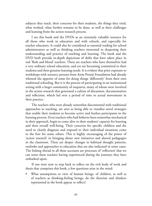subjects they teach, their concerns for their students, the things they tried, what worked, what further remains to be done, as well as their challenges and learning from the action research process.

I see this book and the DVDs as an extremely valuable resource for all those who work in education and with schools, and especially for teacher educators. It could also be considered as essential reading for school administrators as well as thinking teachers interested in deepening their understanding and practice of teaching and learning. The book and the DVD both provide in-depth depictions of shifts that have taken place in real 'flesh and blood' teachers. These are teachers who have themselves had a very ordinary school education, and yet are becoming committed to their students and their genuine learning needs. It is evident that prior exposure to workshops with resource persons from Azim Premji Foundation had already whetted the appetite of some for doing things 'differently' from their own traditional schooling. But it is the process of participating in an institutional setting with a larger community of enquirers, many of whom were involved in the action research that generated a culture of discussion, documentation and reflection, which led over a period of time to actual movements in their practice.

The teachers who were already somewhat discontented with traditional approaches to teaching, are seen as being able to visualize novel strategies that enable their students to become active and fearless participants in the learning process. Even teachers who had hitherto been somewhat mechanical in their approach, begin to come alive to their students' capacity for learning and their overall well-being. Their concerns for specific children and the need to closely diagnose and respond to their individual situations come to the fore for some others. This is highly encouraging of the power of 'action research' in bringing about new initiatives and altered pedagogies in the classroom. There are deeper changes in habitual thought patterns, outlooks and approaches to education that are also indicated in some cases. The linking thread in all these accounts are processes of 'reflection' that we can sense these teachers having experienced during the journeys they have embarked upon.

If one were now to step back to reflect on the rich body of work and thesis that comprises this book, a few questions arise in the mind:

What assumptions or view of human beings, of children, as well as of teachers as thinking-feeling beings, do the theorists and thinkers represented in the book appear to reflect?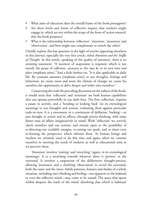- What aims of education does the overall frame of the book presuppose?
- Are there levels and forms of reflective inquiry that teachers might engage in, which are not within the scope of the form of 'action research' that the book proposes?
- What is the relationship between 'reflection', 'attention', 'awareness' and 'observation', and how might one complement or enrich the other?

I briefly explore this last question in the light of articles appearing elsewhere in this *Journal*, especially the very first article, titled *Attention and the Traffic of Thought*. In this article, speaking of 'the quality of attention', there is an arresting statement: "A moment of suspension is required, which is not merely the pause of *reflection*, *necessary as this may be in its own time and place* [emphasis mine]."And a little further on: "It is also applicable in daily life. By constant *attention* [emphasis mine] to our thoughts, feelings and behaviour, we create more and more the climate of change; we create for ourselves the opportunity to delve deeper and wider into ourselves."

Connecting this with the preceding discussion on the subject of the book, it would seem that 'reflection' and 'attention' are both human capabilities that can operate powerfully in our daily lives. The first, reflection, requires a pause in activity, and a 'bending or looking back' (in its etymological meaning) to our thoughts and actions, evaluating them against particular ends-in-view. It is a movement in a continuum of deliberate 'looking'—at *past* thought or action and its effects, through *present* thinking, with some *future* state of affairs imaginatively in mind. With 'reflection' we actively check ourselves and our actions, and remain open to the possibility of re-directing our available energies, re-setting our goals, and at times even re-framing the perspective which informs these. As human beings and teachers we certainly need to do this time and again, when we commit ourselves to meeting the needs of students as well as educational aims as we perceive them.

'Attention' involves 'waiting' and 'stretching' (again, in its etymological meanings). It is a stretching towards whatever there is 'present' in the surround. It involves a suspension of the deliberative thought-process, allowing 'awareness' and a clarifying 'observation' to reveal the surround, both the outer and the inner. Subtle patterns, features and shades of a whole situation, including one's thinking and feeling—not apparent to the habitual or even the reflective mind—may come to be sensed. The space that opens within deepens the reach of the mind, dissolving that which is habitual,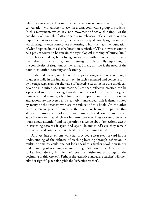releasing new energy. This may happen when one is alone or with nature, in conversation with another or even in a classroom with a group of students. In this movement, which is a non-movement of active thinking, lies the possibility of renewal, of affectionate comprehension of a situation, of new responses that are drawn forth, of change that is qualitatively significant, and which brings its own atmosphere of learning. This is perhaps the foundation of what Stephen Smith calls the 'attention curriculum'. This, however, cannot be a pre-set course to be run (in the etymological meaning of 'curriculum') by teacher or student; but a living engagement with moments that present themselves, into which may flow an energy capable of fully responding to the complexity of situations as they arise. Surely, this too is the need of the hour in education, teaching and learning.

In the end one is grateful that Schon's pioneering work has been brought to us, especially in the Indian context, in such a textured and concrete form by Neeraja Raghavan, for the value of 'reflective teaching' in our schools can never be minimized. As a summation, I see that 'reflective practice' can be a powerful means of moving towards more or less known ends in a given framework and context, when limiting assumptions and habitual thoughts and actions are uncovered and creatively transcended. This is demonstrated by many of the teachers who are the subject of this book. On the other hand, 'attentive practice' might be the quality of being fully present that allows for transcendence of any pre-set framework and context, and reveals as well as releases that which was hitherto *unknown*. Thus we cannot *know* as much about 'attention' and its operations as we do about 'reflection', except in stretching towards it again and again. In my mind's eye they remain distinctive, and complementary, facilities of the human mind.

And yet, just as Schon's work has provided a clear step forward in our understanding of the richness of teaching-learning through 'reflection' in multiple domains, could one not look ahead to a further revolution in our understanding of teaching-learning through 'attention' that Krishnamurti spoke about during his lifetime? (See the Krishnamurti passage at the beginning of this *Journal*). Perhaps the 'attentive and aware teacher' will then take her rightful place alongside the 'reflective teacher'.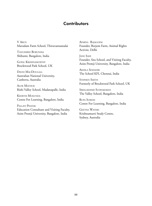## **Contributors**

V Arun Marudam Farm School, Thiruvannamalai

Tanushree Borundia Shibumi, Bangalore, India

Gopal Krishnamurthy Brockwood Park School, UK

DAVID MACDOUGALL Australian National University, Canberra, Australia

Alok Mathur Rishi Valley School, Madanapalle, India

Keerthi Mukunda Centre For Learning, Bangalore, India

Pallavi Phatak Education Consultant and Visiting Faculty, Azim Premji University, Bangalore, India

Aparna Rajagopal Founder, Beejom Farm, Animal Rights Activist, Delhi

Jane Sahi Founder, Sita School, and Visiting Faculty, Azim Premji University, Bangalore, India

Akhila Seshadri The School KFI, Chennai, India

Stephen Smith Formerly of Brockwood Park School, UK

Sreelakshmi Sudhakaran The Valley School, Bangalore, India

Rupa Suresh Centre For Learning, Bangalore, India

Geetha Waters Krishnamurti Study Centre, Sydney, Australia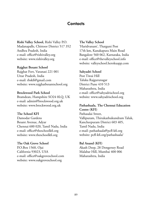## **Contacts**

**Rishi Valley School,** Rishi Valley P.O. Madanapalle, Chittoor District 517 352 Andhra Pradesh, India e-mail: office@rishivalley.org website: www.rishivalley.org

#### **Rajghat Besant School**

Rajghat Fort, Varanasi 221 001 Uttar Pradesh, India e-mail: rbskfi@gmail.com website: www.rajghatbesantschool.org

#### **Brockwood Park School**

Bramdean, Hampshire SO24 0LQ, UK e-mail: admin@brockwood.org.uk website: www.brockwood.org.uk

#### **The School KFI**

Damodar Gardens Besant Avenue, Adyar Chennai 600 020, Tamil Nadu, India e-mail: office@theschoolkfi.org website: www.theschoolkfi.org

#### **The Oak Grove School**

P.O.Box 1560, Ojai California 93023, USA e-mail: office@oakgroveschool.com website: www.oakgroveschool.org

#### **The Valley School**

'Haridvanam', Thatguni Post 17th km, Kanakapura Main Road Bangalore 560 062, Karnataka, India e-mail: office@thevalleyschool.info website: valleyschool.herokuapp.com

#### **Sahyadri School**

Post Tiwai Hill Taluka Rajgurunagar District Pune 410 513 Maharashtra, India e-mail: office@sahyadrischool.org website: www.sahyadrischool.org

### **Pathashaala, The Chennai Education Centre (KFI)**

Pathasalai Street, Vallipuram, Thirukazhukundram Taluk, Kancheepuram District 603 405, Tamil Nadu, India e-mail: pathashaala@pcfl-kfi.org website: pcfl-kfi.org/pathashaala/

#### **Bal Anand (KFI)**

Akash Deep, 28 Dongersey Road Malabar Hill, Mumbai 400 006 Maharashtra, India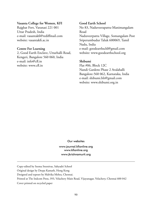#### **Vasanta College for Women, KFI**

Rajghat Fort, Varanasi 221 001 Uttar Pradesh, India e-mail: vasantakfi@rediffmail.com website: vasantakfi.ac.in

#### **Centre For Learning**

2, Good Earth Enclave, Uttarhalli Road, Kengeri, Bangalore 560 060, India e-mail: info@cfl.in website: www.cfl.in

#### **Good Earth School**

No 83, Naduveerapattu-Manimangalam Road Naduveerpattu Village, Somangalam Post Sriperumbudur Taluk 600069, Tamil Nadu, India e-mail: goodearthschl@gmail.com website: www.goodearthschool.org

#### **Shibumi**

Flat #06, Block 12C Nandi Gardens Phase 2 Avalahalli Bangalore-560 062, Karnataka, India e-mail: shibumi.blr@gmail.com website: www.shibumi.org.in

Our websites

www.journal.kfionline.org www.kfionline.org www.jkrishnamurti.org

Copy-edited by Seema Sreenivas, Sahyadri School

Original design by Deepa Kamath, Hong Kong

Designed and typeset by Malvika Mehra, Chennai.

Printed at The Indcom Press, 393, Velachery Main Road, Vijayanagar, Velachery, Chennai 600 042

Cover printed on recycled paper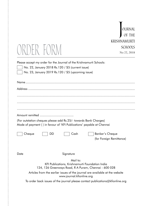| OURNAL       |
|--------------|
| OF THE       |
| KRISHNAMURTI |
| SCHOOLS      |
| No 22, 2018  |

# *ORDER FORM*

Please accept my order for the Journal of the Krishnamurti Schools:

No. 22, January 2018 Rs.120 / \$5 (current issue)

No. 23, January 2019 Rs.120 / \$5 (upcoming issue)

Articles from the earlier issues of the journal are available at the website www.journal.kfionline.org

To order back issues of the journal please contact publications@kfionline.org